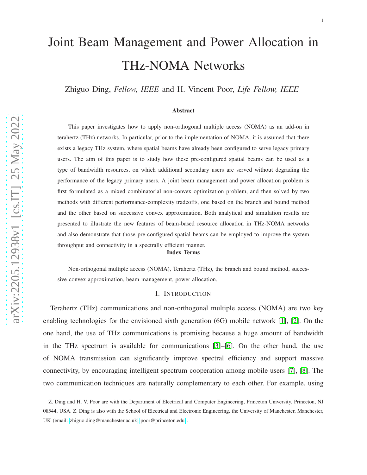# Joint Beam Management and Power Allocation in THz-NOMA Networks

Zhiguo Ding, *Fellow, IEEE* and H. Vincent Poor, *Life Fellow, IEEE*

#### Abstract

This paper investigates how to apply non-orthogonal multiple access (NOMA) as an add-on in terahertz (THz) networks. In particular, prior to the implementation of NOMA, it is assumed that there exists a legacy THz system, where spatial beams have already been configured to serve legacy primary users. The aim of this paper is to study how these pre-configured spatial beams can be used as a type of bandwidth resources, on which additional secondary users are served without degrading the performance of the legacy primary users. A joint beam management and power allocation problem is first formulated as a mixed combinatorial non-convex optimization problem, and then solved by two methods with different performance-complexity tradeoffs, one based on the branch and bound method and the other based on successive convex approximation. Both analytical and simulation results are presented to illustrate the new features of beam-based resource allocation in THz-NOMA networks and also demonstrate that those pre-configured spatial beams can be employed to improve the system throughput and connectivity in a spectrally efficient manner.

#### Index Terms

Non-orthogonal multiple access (NOMA), Terahertz (THz), the branch and bound method, successive convex approximation, beam management, power allocation.

#### I. INTRODUCTION

Terahertz (THz) communications and non-orthogonal multiple access (NOMA) are two key enabling technologies for the envisioned sixth generation (6G) mobile network [\[1\]](#page-28-0), [\[2\]](#page-28-1). On the one hand, the use of THz communications is promising because a huge amount of bandwidth in the THz spectrum is available for communications [\[3\]](#page-28-2)–[\[6\]](#page-29-0). On the other hand, the use of NOMA transmission can significantly improve spectral efficiency and support massive connectivity, by encouraging intelligent spectrum cooperation among mobile users [\[7\]](#page-29-1), [\[8\]](#page-29-2). The two communication techniques are naturally complementary to each other. For example, using

Z. Ding and H. V. Poor are with the Department of Electrical and Computer Engineering, Princeton University, Princeton, NJ 08544, USA. Z. Ding is also with the School of Electrical and Electronic Engineering, the University of Manchester, Manchester, UK (email: [zhiguo.ding@manchester.ac.uk,](mailto:zhiguo.ding@manchester.ac.uk) [poor@princeton.edu\)](mailto:poor@princeton.edu).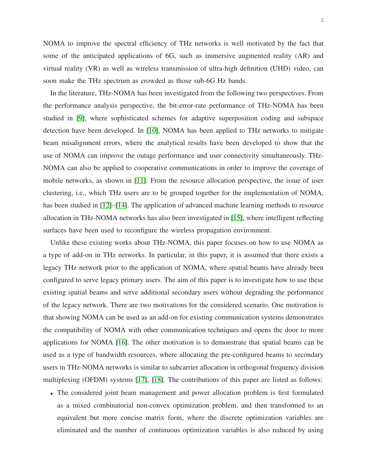NOMA to improve the spectral efficiency of THz networks is well motivated by the fact that some of the anticipated applications of 6G, such as immersive augmented reality (AR) and virtual reality (VR) as well as wireless transmission of ultra-high definition (UHD) video, can soon make the THz spectrum as crowded as those sub-6G Hz bands.

In the literature, THz-NOMA has been investigated from the following two perspectives. From the performance analysis perspective, the bit-error-rate performance of THz-NOMA has been studied in [\[9\]](#page-29-3), where sophisticated schemes for adaptive superposition coding and subspace detection have been developed. In [\[10\]](#page-29-4), NOMA has been applied to THz networks to mitigate beam misalignment errors, where the analytical results have been developed to show that the use of NOMA can improve the outage performance and user connectivity simultaneously. THz-NOMA can also be applied to cooperative communications in order to improve the coverage of mobile networks, as shown in [\[11\]](#page-29-5). From the resource allocation perspective, the issue of user clustering, i.e., which THz users are to be grouped together for the implementation of NOMA, has been studied in [\[12\]](#page-29-6)–[\[14\]](#page-29-7). The application of advanced machine learning methods to resource allocation in THz-NOMA networks has also been investigated in [\[15\]](#page-29-8), where intelligent reflecting surfaces have been used to reconfigure the wireless propagation environment.

Unlike these existing works about THz-NOMA, this paper focuses on how to use NOMA as a type of add-on in THz networks. In particular, in this paper, it is assumed that there exists a legacy THz network prior to the application of NOMA, where spatial beams have already been configured to serve legacy primary users. The aim of this paper is to investigate how to use these existing spatial beams and serve additional secondary users without degrading the performance of the legacy network. There are two motivations for the considered scenario. One motivation is that showing NOMA can be used as an add-on for existing communication systems demonstrates the compatibility of NOMA with other communication techniques and opens the door to more applications for NOMA [\[16\]](#page-29-9). The other motivation is to demonstrate that spatial beams can be used as a type of bandwidth resources, where allocating the pre-configured beams to secondary users in THz-NOMA networks is similar to subcarrier allocation in orthogonal frequency division multiplexing (OFDM) systems [\[17\]](#page-29-10), [\[18\]](#page-29-11). The contributions of this paper are listed as follows:

• The considered joint beam management and power allocation problem is first formulated as a mixed combinatorial non-convex optimization problem, and then transformed to an equivalent but more concise matrix form, where the discrete optimization variables are eliminated and the number of continuous optimization variables is also reduced by using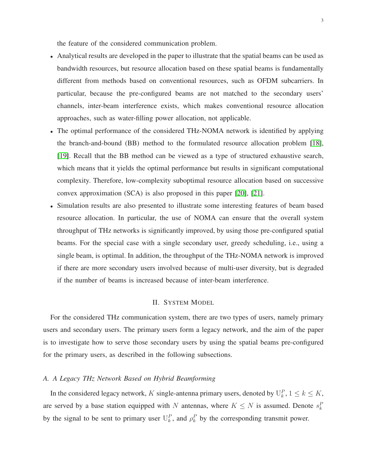the feature of the considered communication problem.

- Analytical results are developed in the paper to illustrate that the spatial beams can be used as bandwidth resources, but resource allocation based on these spatial beams is fundamentally different from methods based on conventional resources, such as OFDM subcarriers. In particular, because the pre-configured beams are not matched to the secondary users' channels, inter-beam interference exists, which makes conventional resource allocation approaches, such as water-filling power allocation, not applicable.
- The optimal performance of the considered THz-NOMA network is identified by applying the branch-and-bound (BB) method to the formulated resource allocation problem [\[18\]](#page-29-11), [\[19\]](#page-29-12). Recall that the BB method can be viewed as a type of structured exhaustive search, which means that it yields the optimal performance but results in significant computational complexity. Therefore, low-complexity suboptimal resource allocation based on successive convex approximation (SCA) is also proposed in this paper [\[20\]](#page-29-13), [\[21\]](#page-29-14).
- Simulation results are also presented to illustrate some interesting features of beam based resource allocation. In particular, the use of NOMA can ensure that the overall system throughput of THz networks is significantly improved, by using those pre-configured spatial beams. For the special case with a single secondary user, greedy scheduling, i.e., using a single beam, is optimal. In addition, the throughput of the THz-NOMA network is improved if there are more secondary users involved because of multi-user diversity, but is degraded if the number of beams is increased because of inter-beam interference.

#### II. SYSTEM MODEL

For the considered THz communication system, there are two types of users, namely primary users and secondary users. The primary users form a legacy network, and the aim of the paper is to investigate how to serve those secondary users by using the spatial beams pre-configured for the primary users, as described in the following subsections.

# *A. A Legacy THz Network Based on Hybrid Beamforming*

In the considered legacy network, K single-antenna primary users, denoted by  $\mathbf{U}_k^P$ ,  $1 \le k \le K$ , are served by a base station equipped with N antennas, where  $K \leq N$  is assumed. Denote  $s_k^F$ by the signal to be sent to primary user  $U_k^P$ , and  $\rho_k^P$  by the corresponding transmit power.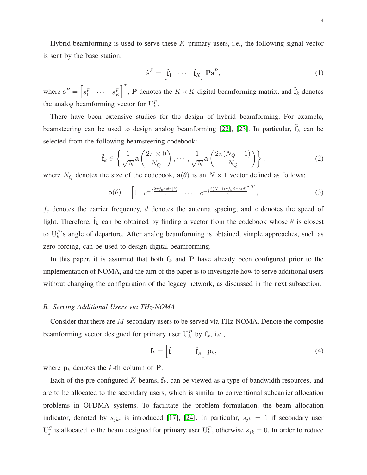Hybrid beamforming is used to serve these  $K$  primary users, i.e., the following signal vector is sent by the base station:

$$
\tilde{\mathbf{s}}^P = \begin{bmatrix} \tilde{\mathbf{f}}_1 & \cdots & \tilde{\mathbf{f}}_K \end{bmatrix} \mathbf{P} \mathbf{s}^P,\tag{1}
$$

where  $\mathbf{s}^P = \begin{bmatrix} s_1^P & \cdots & s_K^P \end{bmatrix}^T$ , P denotes the  $K \times K$  digital beamforming matrix, and  $\tilde{\mathbf{f}}_k$  denotes the analog beamforming vector for  $U_k^P$ .

There have been extensive studies for the design of hybrid beamforming. For example, beamsteering can be used to design analog beamforming [\[22\]](#page-29-15), [\[23\]](#page-29-16). In particular,  $\tilde{\mathbf{f}}_k$  can be selected from the following beamsteering codebook:

$$
\tilde{\mathbf{f}}_k \in \left\{ \frac{1}{\sqrt{N}} \mathbf{a} \left( \frac{2\pi \times 0}{N_Q} \right), \cdots, \frac{1}{\sqrt{N}} \mathbf{a} \left( \frac{2\pi (N_Q - 1)}{N_Q} \right) \right\},\tag{2}
$$

where  $N_Q$  denotes the size of the codebook,  $a(\theta)$  is an  $N \times 1$  vector defined as follows:

$$
\mathbf{a}(\theta) = \begin{bmatrix} 1 & e^{-j\frac{2\pi f_c d \sin(\theta)}{c}} & \cdots & e^{-j\frac{2(N-1)\pi f_c d \sin(\theta)}{c}} \end{bmatrix}^T, \tag{3}
$$

 $f_c$  denotes the carrier frequency,  $d$  denotes the antenna spacing, and  $c$  denotes the speed of light. Therefore,  $\tilde{\mathbf{f}}_k$  can be obtained by finding a vector from the codebook whose  $\theta$  is closest to  $U_k^P$ 's angle of departure. After analog beamforming is obtained, simple approaches, such as zero forcing, can be used to design digital beamforming.

In this paper, it is assumed that both  $\tilde{f}_k$  and P have already been configured prior to the implementation of NOMA, and the aim of the paper is to investigate how to serve additional users without changing the configuration of the legacy network, as discussed in the next subsection.

# *B. Serving Additional Users via THz-NOMA*

Consider that there are M secondary users to be served via THz-NOMA. Denote the composite beamforming vector designed for primary user  $U_k^P$  by  $f_k$ , i.e.,

$$
\mathbf{f}_k = \begin{bmatrix} \tilde{\mathbf{f}}_1 & \cdots & \tilde{\mathbf{f}}_K \end{bmatrix} \mathbf{p}_k, \tag{4}
$$

where  $p_k$  denotes the k-th column of P.

Each of the pre-configured K beams,  $f_k$ , can be viewed as a type of bandwidth resources, and are to be allocated to the secondary users, which is similar to conventional subcarrier allocation problems in OFDMA systems. To facilitate the problem formulation, the beam allocation indicator, denoted by  $s_{jk}$ , is introduced [\[17\]](#page-29-10), [\[24\]](#page-29-17). In particular,  $s_{jk} = 1$  if secondary user  $U_j^S$  is allocated to the beam designed for primary user  $U_k^P$ , otherwise  $s_{jk} = 0$ . In order to reduce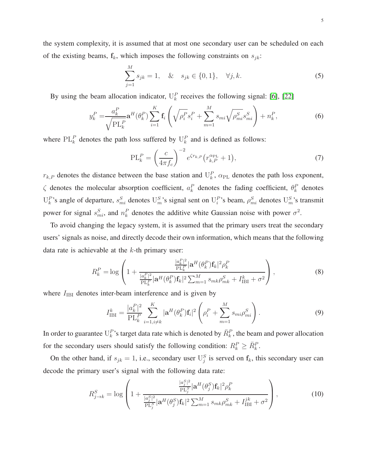the system complexity, it is assumed that at most one secondary user can be scheduled on each of the existing beams,  $f_k$ , which imposes the following constraints on  $s_{jk}$ :

$$
\sum_{j=1}^{M} s_{jk} = 1, \quad \& \quad s_{jk} \in \{0, 1\}, \quad \forall j, k. \tag{5}
$$

By using the beam allocation indicator,  $U_k^P$  receives the following signal: [\[6\]](#page-29-0), [\[22\]](#page-29-15)

$$
y_k^P = \frac{a_k^P}{\sqrt{\text{PL}_k^P}} \mathbf{a}^H(\theta_k^P) \sum_{i=1}^K \mathbf{f}_i \left( \sqrt{\rho_i^P} s_i^P + \sum_{m=1}^M s_{mi} \sqrt{\rho_{mi}^S} s_{mi}^S \right) + n_k^P,
$$
(6)

where  $PL_k^P$  denotes the path loss suffered by  $U_k^P$  and is defined as follows:

$$
PL_k^P = \left(\frac{c}{4\pi f_c}\right)^{-2} e^{\zeta r_{k,P}} \left(r_{k,P}^{\alpha_{\text{PL}}} + 1\right),\tag{7}
$$

 $r_{k,P}$  denotes the distance between the base station and  $U_k^P$ ,  $\alpha_{PL}$  denotes the path loss exponent,  $\zeta$  denotes the molecular absorption coefficient,  $a_k^P$  denotes the fading coefficient,  $\theta_k^P$  denotes  $U_k^P$ 's angle of departure,  $s_{mi}^S$  denotes  $U_m^S$ 's signal sent on  $U_i^P$ 's beam,  $\rho_{mi}^S$  denotes  $U_m^S$ 's transmit power for signal  $s_{mi}^S$ , and  $n_k^P$  denotes the additive white Gaussian noise with power  $\sigma^2$ .

To avoid changing the legacy system, it is assumed that the primary users treat the secondary users' signals as noise, and directly decode their own information, which means that the following data rate is achievable at the  $k$ -th primary user:

$$
R_k^P = \log \left( 1 + \frac{\frac{|a_k^P|^2}{\text{PL}_k^P} |\mathbf{a}^H(\theta_k^P) \mathbf{f}_k|^2 \rho_k^P}{\frac{|a_k^P|^2}{\text{PL}_k^P} |\mathbf{a}^H(\theta_k^P) \mathbf{f}_k|^2 \sum_{m=1}^M s_{mk} \rho_{mk}^S + I_{\text{IBI}}^k + \sigma^2} \right),
$$
\n(8)

where  $I_{IBI}$  denotes inter-beam interference and is given by

$$
I_{\text{IBI}}^{k} = \frac{|a_{k}^{P}|^{2}}{\text{PL}_{k}^{P}} \sum_{i=1, i \neq k}^{K} |\mathbf{a}^{H}(\theta_{k}^{P}) \mathbf{f}_{i}|^{2} \left(\rho_{i}^{P} + \sum_{m=1}^{M} s_{mi} \rho_{mi}^{S}\right).
$$
\n(9)

In order to guarantee  $U_k^P$ 's target data rate which is denoted by  $\bar{R}_k^P$ , the beam and power allocation for the secondary users should satisfy the following condition:  $R_k^P \geq \bar{R}_k^P$ .

On the other hand, if  $s_{jk} = 1$ , i.e., secondary user  $\mathbb{U}_{j}^{S}$  is served on  $f_k$ , this secondary user can decode the primary user's signal with the following data rate:

$$
R_{j\to k}^{S} = \log \left( 1 + \frac{\frac{|a_j^{S}|^2}{\text{PL}_j^S} |\mathbf{a}^{H}(\theta_j^{S}) \mathbf{f}_k|^2 \rho_k^P}{\frac{|a_j^{S}|^2}{\text{PL}_j^S} |\mathbf{a}^{H}(\theta_j^{S}) \mathbf{f}_k|^2 \sum_{m=1}^M s_{mk} \rho_{mk}^S + I_{\text{IBI}}^{jk} + \sigma^2} \right),
$$
(10)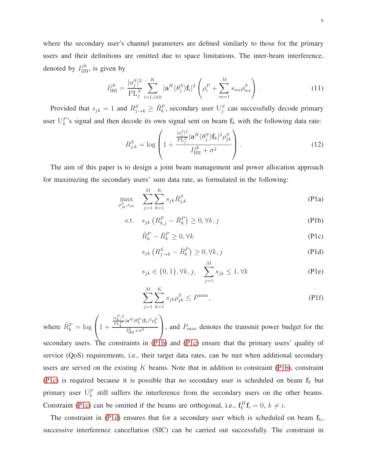where the secondary user's channel parameters are defined similarly to those for the primary users and their definitions are omitted due to space limitations. The inter-beam interference, denoted by  $I_{\text{IBI}}^{jk}$ , is given by

$$
I_{\rm IBI}^{jk} = \frac{|a_j^S|^2}{PL_j^S} \sum_{i=1, i \neq k}^K |\mathbf{a}^H(\theta_j^S)\mathbf{f}_i|^2 \left(\rho_i^P + \sum_{m=1}^M s_{mi} \rho_{mi}^S\right). \tag{11}
$$

Provided that  $s_{jk} = 1$  and  $R_{j\to k}^S \ge \bar{R}_k^P$ , secondary user  $\mathbb{U}_j^S$  can successfully decode primary user  $\mathbf{U}_k^P$ 's signal and then decode its own signal sent on beam  $\mathbf{f}_k$  with the following data rate:

$$
R_{j,k}^{S} = \log \left( 1 + \frac{\frac{|a_j^S|^2}{\text{PL}_j^S} |\mathbf{a}^H(\theta_j^S) \mathbf{f}_k|^2 \rho_{jk}^S}{I_{\text{IBI}}^{jk} + \sigma^2} \right). \tag{12}
$$

The aim of this paper is to design a joint beam management and power allocation approach for maximizing the secondary users' sum data rate, as formulated in the following:

$$
\max_{\rho_{jk}^S, s_{jk}} \sum_{j=1}^M \sum_{k=1}^K s_{jk} R_{j,k}^S
$$
 (P1a)

$$
\text{s.t.} \quad s_{jk} \left( R_{k,j}^P - \bar{R}_k^P \right) \ge 0, \forall k, j \tag{P1b}
$$

<span id="page-5-4"></span><span id="page-5-1"></span><span id="page-5-0"></span>
$$
\tilde{R}_k^P - \bar{R}_k^P \ge 0, \forall k \tag{P1c}
$$

<span id="page-5-2"></span>
$$
s_{jk} \left( R_{j \to k}^S - \bar{R}_k^P \right) \ge 0, \forall k, j
$$
\n
$$
(P1d)
$$

<span id="page-5-3"></span>
$$
s_{jk} \in \{0, 1\}, \forall k, j, \quad \sum_{j=1}^{M} s_{jk} \le 1, \forall k
$$
 (P1e)

<span id="page-5-5"></span>
$$
\sum_{j=1}^{M} \sum_{k=1}^{K} s_{jk} \rho_{jk}^{S} \le P^{\max},\tag{P1f}
$$

where  $\tilde{R}_k^P = \log k$  $\sqrt{ }$  $\left(1 + \right)$  $|a_k^P|^2$  $\frac{a_{k\parallel}}{\mathrm{PL}_{k}^{P}}|\mathbf{a}^{H}(\theta_{k}^{P})\mathbf{f}_{k}|^{2}\rho_{k}^{P}$  $I_{\text{IBI}}^k + \sigma^2$  $\setminus$ , and  $P_{\text{max}}$  denotes the transmit power budget for the secondary users. The constraints in [\(P1b\)](#page-5-0) and [\(P1c\)](#page-5-1) ensure that the primary users' quality of service (QoS) requirements, i.e., their target data rates, can be met when additional secondary users are served on the existing  $K$  beams. Note that in addition to constraint [\(P1b\)](#page-5-0), constraint [\(P1c\)](#page-5-1) is required because it is possible that no secondary user is scheduled on beam  $f_k$  but primary user  $U_k^P$  still suffers the interference from the secondary users on the other beams. Constraint [\(P1c\)](#page-5-1) can be omitted if the beams are orthogonal, i.e.,  $f_k^H f_i = 0, k \neq i$ .

The constraint in [\(P1d\)](#page-5-2) ensures that for a secondary user which is scheduled on beam  $f_k$ , successive interference cancellation (SIC) can be carried out successfully. The constraint in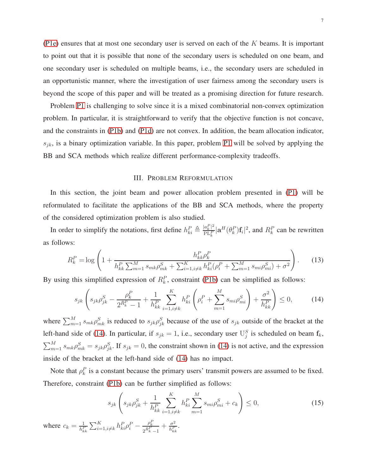[\(P1e\)](#page-5-3) ensures that at most one secondary user is served on each of the  $K$  beams. It is important to point out that it is possible that none of the secondary users is scheduled on one beam, and one secondary user is scheduled on multiple beams, i.e., the secondary users are scheduled in an opportunistic manner, where the investigation of user fairness among the secondary users is beyond the scope of this paper and will be treated as a promising direction for future research.

Problem [P1](#page-5-4) is challenging to solve since it is a mixed combinatorial non-convex optimization problem. In particular, it is straightforward to verify that the objective function is not concave, and the constraints in [\(P1b\)](#page-5-0) and [\(P1d\)](#page-5-2) are not convex. In addition, the beam allocation indicator,  $s_{jk}$ , is a binary optimization variable. In this paper, problem [P1](#page-5-4) will be solved by applying the BB and SCA methods which realize different performance-complexity tradeoffs.

# <span id="page-6-0"></span>III. PROBLEM REFORMULATION

In this section, the joint beam and power allocation problem presented in [\(P1\)](#page-5-4) will be reformulated to facilitate the applications of the BB and SCA methods, where the property of the considered optimization problem is also studied.

In order to simplify the notations, first define  $h_{ki}^P \triangleq \frac{|a_k^P|^2}{PL^P}$  $\frac{|a_k^{\perp}|^2}{PL_k^P} |\mathbf{a}^H(\theta_k^P)\mathbf{f}_i|^2$ , and  $R_k^P$  can be rewritten as follows:

$$
R_k^P = \log \left( 1 + \frac{h_{kk}^P \rho_k^P}{h_{kk}^P \sum_{m=1}^M s_{mk} \rho_{mk}^S + \sum_{i=1, i \neq k}^K h_{ki}^P (\rho_i^P + \sum_{m=1}^M s_{mi} \rho_{mi}^S) + \sigma^2} \right). \tag{13}
$$

By using this simplified expression of  $R_k^P$ , constraint [\(P1b\)](#page-5-0) can be simplified as follows:

$$
s_{jk}\left(s_{jk}\rho_{jk}^S - \frac{\rho_k^P}{2^{\bar{R}_k^P} - 1} + \frac{1}{h_{kk}^P} \sum_{i=1, i \neq k}^K h_{ki}^P \left(\rho_i^P + \sum_{m=1}^M s_{mi}\rho_{mi}^S\right) + \frac{\sigma^2}{h_{kk}^P}\right) \le 0,\tag{14}
$$

where  $\sum_{m=1}^{M} s_{mk} \rho_{mk}^{S}$  is reduced to  $s_{jk} \rho_{jk}^{S}$  because of the use of  $s_{jk}$  outside of the bracket at the left-hand side of [\(14\)](#page-6-0). In particular, if  $s_{jk} = 1$ , i.e., secondary user  $\mathbb{U}_{j}^{S}$  is scheduled on beam  $\mathbf{f}_{k}$ ,  $\sum_{m=1}^{M} s_{mk} \rho_{mk}^{S} = s_{jk} \rho_{jk}^{S}$ . If  $s_{jk} = 0$ , the constraint shown in [\(14\)](#page-6-0) is not active, and the expression inside of the bracket at the left-hand side of [\(14\)](#page-6-0) has no impact.

Note that  $\rho_k^P$  is a constant because the primary users' transmit powers are assumed to be fixed. Therefore, constraint [\(P1b\)](#page-5-0) can be further simplified as follows:

<span id="page-6-1"></span>
$$
s_{jk}\left(s_{jk}\rho_{jk}^S + \frac{1}{h_{kk}^P} \sum_{i=1, i \neq k}^K h_{ki}^P \sum_{m=1}^M s_{mi}\rho_{mi}^S + c_k\right) \le 0,
$$
\n(15)

where  $c_k = \frac{1}{h^F}$  $\frac{1}{h_{kk}^P}\sum_{i=1,i\neq k}^{K}h_{ki}^P\rho_i^P-\frac{\rho_k^P}{2^{\bar{R}_k^P}}$  $\frac{\rho_k^P}{2^{\bar{R}_k^P}-1}+\frac{\sigma^2}{h_{kl}^P}$  $\frac{\sigma^2}{h_{kk}^P}$ .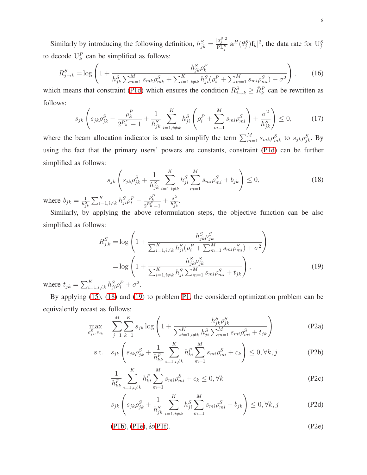Similarly by introducing the following definition,  $h_{jk}^S = \frac{|a_j^S|^2}{PL^S}$  $\frac{a_j^2 \bar{\sigma}}{PL_j^S} |\mathbf{a}^H(\theta_j^S) \mathbf{f}_k|^2$ , the data rate for  $U_j^S$ to decode  $U_k^P$  can be simplified as follows:

$$
R_{j \to k}^{S} = \log \left( 1 + \frac{h_{jk}^{S} \rho_{k}^{P}}{h_{jk}^{S} \sum_{m=1}^{M} s_{mk} \rho_{mk}^{S} + \sum_{i=1, i \neq k}^{K} h_{ji}^{S} (\rho_{i}^{P} + \sum_{m=1}^{M} s_{mi} \rho_{mi}^{S}) + \sigma^{2}} \right),
$$
 (16)

which means that constraint [\(P1d\)](#page-5-2) which ensures the condition  $R_{j\to k}^S \geq \bar{R}_k^P$  can be rewritten as follows:

$$
s_{jk}\left(s_{jk}\rho_{jk}^S - \frac{\rho_k^P}{2^{\bar{R}_k^P} - 1} + \frac{1}{h_{jk}^S} \sum_{i=1, i \neq k}^K h_{ji}^S \left(\rho_i^P + \sum_{m=1}^M s_{mi}\rho_{mi}^S\right) + \frac{\sigma^2}{h_{jk}^S}\right) \le 0,\tag{17}
$$

where the beam allocation indicator is used to simplify the term  $\sum_{m=1}^{M} s_{mk} \rho_{mk}^S$  to  $s_{jk} \rho_{jk}^S$ . By using the fact that the primary users' powers are constants, constraint [\(P1d\)](#page-5-2) can be further simplified as follows:

<span id="page-7-0"></span>
$$
s_{jk}\left(s_{jk}\rho_{jk}^S + \frac{1}{h_{jk}^S} \sum_{i=1, i \neq k}^K h_{ji}^S \sum_{m=1}^M s_{mi}\rho_{mi}^S + b_{jk}\right) \le 0,
$$
\n(18)

where  $b_{jk} = \frac{1}{h^5}$  $\frac{1}{h_{jk}^S}\sum_{i=1,i\neq k}^{K}h_{ji}^S\rho_{i}^P-\frac{\rho_{k}^F}{2^{\bar{R}_{k}^P}}$  $\frac{\rho_k^P}{2^{\bar{R}_k^P}-1}+\frac{\sigma^2}{h_{jl}^S}$  $\frac{\sigma^2}{h_{jk}^S}$ .

Similarly, by applying the above reformulation steps, the objective function can be also simplified as follows:

<span id="page-7-1"></span>
$$
R_{j,k}^{S} = \log \left( 1 + \frac{h_{jk}^{S} \rho_{jk}^{S}}{\sum_{i=1, i \neq k}^{K} h_{ji}^{S} (\rho_{i}^{P} + \sum_{m=1}^{M} s_{mi} \rho_{mi}^{S}) + \sigma^{2}} \right)
$$
  
= 
$$
\log \left( 1 + \frac{h_{jk}^{S} \rho_{jk}^{S}}{\sum_{i=1, i \neq k}^{K} h_{ji}^{S} \sum_{m=1}^{M} s_{mi} \rho_{mi}^{S} + t_{jk}} \right),
$$
(19)

where  $t_{jk} = \sum_{i=1, i \neq k}^{K} h_{ji}^{S} \rho_i^{P} + \sigma$ 

By applying [\(15\)](#page-6-1), [\(18\)](#page-7-0) and [\(19\)](#page-7-1) to problem [P1,](#page-5-4) the considered optimization problem can be equivalently recast as follows:

<span id="page-7-2"></span>
$$
\max_{\rho_{jk}^S, s_{jk}} \sum_{j=1}^M \sum_{k=1}^K s_{jk} \log \left( 1 + \frac{h_{jk}^S \rho_{jk}^S}{\sum_{i=1, i \neq k}^K h_{ji}^S \sum_{m=1}^M s_{mi} \rho_{mi}^S + t_{jk}} \right)
$$
(P2a)

s.t. 
$$
s_{jk} \left( s_{jk} \rho_{jk}^S + \frac{1}{h_{kk}^P} \sum_{i=1, i \neq k}^K h_{ki}^P \sum_{m=1}^M s_{mi} \rho_{mi}^S + c_k \right) \le 0, \forall k, j
$$
 (P2b)

<span id="page-7-3"></span>
$$
\frac{1}{h_{kk}^P} \sum_{i=1, i \neq k}^{K} h_{ki}^P \sum_{m=1}^{M} s_{mi} \rho_{mi}^S + c_k \le 0, \forall k
$$
 (P2c)

<span id="page-7-5"></span><span id="page-7-4"></span>
$$
s_{jk} \left( s_{jk} \rho_{jk}^S + \frac{1}{h_{jk}^S} \sum_{i=1, i \neq k}^K h_{ji}^S \sum_{m=1}^M s_{mi} \rho_{mi}^S + b_{jk} \right) \le 0, \forall k, j
$$
 (P2d)

$$
(P1b), (P1e), \& (P1f). \tag{P2e}
$$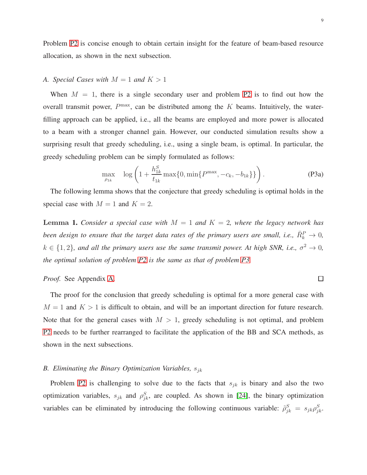Problem [P2](#page-7-2) is concise enough to obtain certain insight for the feature of beam-based resource allocation, as shown in the next subsection.

# *A. Special Cases with*  $M = 1$  *and*  $K > 1$

When  $M = 1$ , there is a single secondary user and problem [P2](#page-7-2) is to find out how the overall transmit power,  $P^{\text{max}}$ , can be distributed among the  $K$  beams. Intuitively, the waterfilling approach can be applied, i.e., all the beams are employed and more power is allocated to a beam with a stronger channel gain. However, our conducted simulation results show a surprising result that greedy scheduling, i.e., using a single beam, is optimal. In particular, the greedy scheduling problem can be simply formulated as follows:

<span id="page-8-0"></span>
$$
\max_{\rho_{1k}} \quad \log \left( 1 + \frac{h_{1k}^S}{t_{1k}} \max\{0, \min\{P^{\max}, -c_k, -b_{1k}\}\} \right). \tag{P3a}
$$

The following lemma shows that the conjecture that greedy scheduling is optimal holds in the special case with  $M = 1$  and  $K = 2$ .

<span id="page-8-1"></span>**Lemma 1.** *Consider a special case with*  $M = 1$  *and*  $K = 2$ *, where the legacy network has* been design to ensure that the target data rates of the primary users are small, i.e.,  $\bar{R}_k^P \rightarrow 0$ ,  $k \in \{1, 2\}$ , and all the primary users use the same transmit power. At high SNR, i.e.,  $\sigma^2 \to 0$ , *the optimal solution of problem [P2](#page-7-2) is the same as that of problem [P3.](#page-8-0)*

# *Proof.* See Appendix [A.](#page-25-0)

The proof for the conclusion that greedy scheduling is optimal for a more general case with  $M = 1$  and  $K > 1$  is difficult to obtain, and will be an important direction for future research. Note that for the general cases with  $M > 1$ , greedy scheduling is not optimal, and problem [P2](#page-7-2) needs to be further rearranged to facilitate the application of the BB and SCA methods, as shown in the next subsections.

## *B. Eliminating the Binary Optimization Variables,*  $s_{jk}$

Problem [P2](#page-7-2) is challenging to solve due to the facts that  $s_{jk}$  is binary and also the two optimization variables,  $s_{jk}$  and  $\rho_{jk}^S$ , are coupled. As shown in [\[24\]](#page-29-17), the binary optimization variables can be eliminated by introducing the following continuous variable:  $\tilde{\rho}_{jk}^S = s_{jk}\rho_{jk}^S$ .

 $\Box$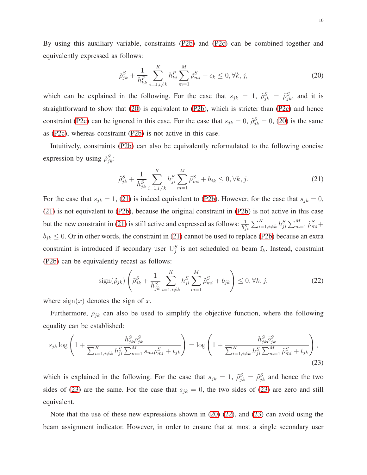By using this auxiliary variable, constraints [\(P2b\)](#page-7-3) and [\(P2c\)](#page-7-4) can be combined together and equivalently expressed as follows:

<span id="page-9-0"></span>
$$
\tilde{\rho}_{jk}^{S} + \frac{1}{h_{kk}^{P}} \sum_{i=1, i \neq k}^{K} h_{ki}^{P} \sum_{m=1}^{M} \tilde{\rho}_{mi}^{S} + c_k \le 0, \forall k, j,
$$
\n(20)

which can be explained in the following. For the case that  $s_{jk} = 1$ ,  $\tilde{\rho}_{jk}^S = \tilde{\rho}_{jk}^S$ , and it is straightforward to show that [\(20\)](#page-9-0) is equivalent to [\(P2b\)](#page-7-3), which is stricter than [\(P2c\)](#page-7-4) and hence constraint [\(P2c\)](#page-7-4) can be ignored in this case. For the case that  $s_{jk} = 0$ ,  $\tilde{\rho}_{jk}^S = 0$ , [\(20\)](#page-9-0) is the same as [\(P2c\)](#page-7-4), whereas constraint [\(P2b\)](#page-7-3) is not active in this case.

Intuitively, constraints [\(P2b\)](#page-7-3) can also be equivalently reformulated to the following concise expression by using  $\tilde{\rho}_{jk}^S$ :

<span id="page-9-1"></span>
$$
\tilde{\rho}_{jk}^{S} + \frac{1}{h_{jk}^{S}} \sum_{i=1, i \neq k}^{K} h_{ji}^{S} \sum_{m=1}^{M} \tilde{\rho}_{mi}^{S} + b_{jk} \leq 0, \forall k, j.
$$
\n(21)

For the case that  $s_{jk} = 1$ , [\(21\)](#page-9-1) is indeed equivalent to [\(P2b\)](#page-7-3). However, for the case that  $s_{jk} = 0$ , [\(21\)](#page-9-1) is not equivalent to [\(P2b\)](#page-7-3), because the original constraint in [\(P2b\)](#page-7-3) is not active in this case but the new constraint in [\(21\)](#page-9-1) is still active and expressed as follows:  $\frac{1}{h_{jk}^S} \sum_{i=1, i\neq k}^K h_{ji}^S \sum_{m=1}^M \tilde{\rho}_{mi}^S +$  $b_{jk} \leq 0$ . Or in other words, the constraint in [\(21\)](#page-9-1) cannot be used to replace [\(P2b\)](#page-7-3) because an extra constraint is introduced if secondary user  $U_j^S$  is not scheduled on beam  $f_k$ . Instead, constraint [\(P2b\)](#page-7-3) can be equivalently recast as follows:

<span id="page-9-3"></span><span id="page-9-2"></span>
$$
\text{sign}(\tilde{\rho}_{jk}) \left( \tilde{\rho}_{jk}^S + \frac{1}{h_{jk}^S} \sum_{i=1, i \neq k}^K h_{ji}^S \sum_{m=1}^M \tilde{\rho}_{mi}^S + b_{jk} \right) \le 0, \forall k, j,
$$
 (22)

where  $sign(x)$  denotes the sign of x.

Furthermore,  $\tilde{\rho}_{jk}$  can also be used to simplify the objective function, where the following equality can be established:

$$
s_{jk} \log \left( 1 + \frac{h_{jk}^S \rho_{jk}^S}{\sum_{i=1, i \neq k}^K h_{ji}^S \sum_{m=1}^M s_{mi} \rho_{mi}^S + t_{jk}} \right) = \log \left( 1 + \frac{h_{jk}^S \tilde{\rho}_{jk}^S}{\sum_{i=1, i \neq k}^K h_{ji}^S \sum_{m=1}^M \tilde{\rho}_{mi}^S + t_{jk}} \right),
$$
\n(23)

which is explained in the following. For the case that  $s_{jk} = 1$ ,  $\tilde{\rho}_{jk}^S = \tilde{\rho}_{jk}^S$  and hence the two sides of [\(23\)](#page-9-2) are the same. For the case that  $s_{jk} = 0$ , the two sides of [\(23\)](#page-9-2) are zero and still equivalent.

Note that the use of these new expressions shown in  $(20)$   $(22)$ , and  $(23)$  can avoid using the beam assignment indicator. However, in order to ensure that at most a single secondary user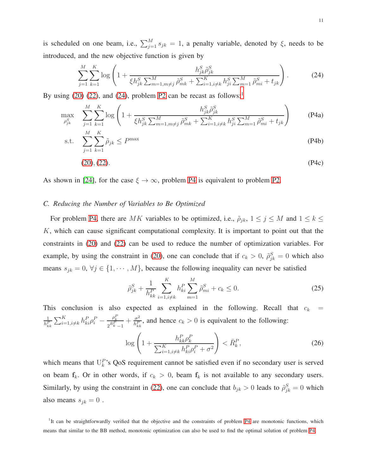is scheduled on one beam, i.e.,  $\sum_{j=1}^{M} s_{jk} = 1$ , a penalty variable, denoted by  $\xi$ , needs to be introduced, and the new objective function is given by

<span id="page-10-2"></span><span id="page-10-0"></span>
$$
\sum_{j=1}^{M} \sum_{k=1}^{K} \log \left( 1 + \frac{h_{jk}^{S} \tilde{\rho}_{jk}^{S}}{\xi h_{jk}^{S} \sum_{m=1, m \neq j}^{M} \tilde{\rho}_{mk}^{S} + \sum_{i=1, i \neq k}^{K} h_{ji}^{S} \sum_{m=1}^{M} \tilde{\rho}_{mi}^{S} + t_{jk} \right).
$$
 (24)

By using  $(20)$   $(22)$ , and  $(24)$ , problem [P2](#page-7-2) can be recast as follows:<sup>[1](#page-10-1)</sup>

$$
\max_{\rho_{jk}^S} \sum_{j=1}^M \sum_{k=1}^K \log \left( 1 + \frac{h_{jk}^S \tilde{\rho}_{jk}^S}{\xi h_{jk}^S \sum_{m=1, m \neq j}^M \tilde{\rho}_{mk}^S + \sum_{i=1, i \neq k}^K h_{ji}^S \sum_{m=1}^M \tilde{\rho}_{mi}^S + t_{jk}} \right) \tag{P4a}
$$

$$
\text{s.t.} \quad \sum_{j=1}^{M} \sum_{k=1}^{K} \tilde{\rho}_{jk} \le P^{\max} \tag{P4b}
$$

$$
(20), (22). \t\t (P4c)
$$

As shown in [\[24\]](#page-29-17), for the case  $\xi \to \infty$ , problem [P4](#page-10-2) is equivalent to problem [P2.](#page-7-2)

# *C. Reducing the Number of Variables to Be Optimized*

For problem [P4,](#page-10-2) there are MK variables to be optimized, i.e.,  $\tilde{\rho}_{jk}$ ,  $1 \le j \le M$  and  $1 \le k \le$ K, which can cause significant computational complexity. It is important to point out that the constraints in [\(20\)](#page-9-0) and [\(22\)](#page-9-3) can be used to reduce the number of optimization variables. For example, by using the constraint in [\(20\)](#page-9-0), one can conclude that if  $c_k > 0$ ,  $\tilde{\rho}_{jk}^S = 0$  which also means  $s_{jk} = 0, \forall j \in \{1, \dots, M\}$ , because the following inequality can never be satisfied

$$
\tilde{\rho}_{jk}^S + \frac{1}{h_{kk}^P} \sum_{i=1, i \neq k}^K h_{ki}^P \sum_{m=1}^M \tilde{\rho}_{mi}^S + c_k \le 0.
$$
\n(25)

This conclusion is also expected as explained in the following. Recall that  $c_k$  = 1  $\frac{1}{h_{kk}^P}\sum_{i=1,i\neq k}^{K}h_{ki}^P\rho_i^P-\frac{\rho_k^P}{2^{\bar{R}_k^P}}$  $\frac{\rho_k^P}{2^{\bar{R}_k^P}-1}+\frac{\sigma^2}{h_{kl}^P}$  $\frac{\sigma^2}{h_{kk}^p}$ , and hence  $c_k > 0$  is equivalent to the following:

$$
\log\left(1 + \frac{h_{kk}^P \rho_k^P}{\sum_{i=1, i \neq k}^K h_{ki}^P \rho_i^P + \sigma^2}\right) < \bar{R}_k^P,\tag{26}
$$

which means that  $U_k^P$ 's QoS requirement cannot be satisfied even if no secondary user is served on beam  $f_k$ . Or in other words, if  $c_k > 0$ , beam  $f_k$  is not available to any secondary users. Similarly, by using the constraint in [\(22\)](#page-9-3), one can conclude that  $b_{jk} > 0$  leads to  $\tilde{\rho}_{jk}^S = 0$  which also means  $s_{jk} = 0$ .

<span id="page-10-1"></span><sup>&</sup>lt;sup>1</sup>It can be straightforwardly verified that the objective and the constraints of problem [P4](#page-10-2) are monotonic functions, which means that similar to the BB method, monotonic optimization can also be used to find the optimal solution of problem [P4.](#page-10-2)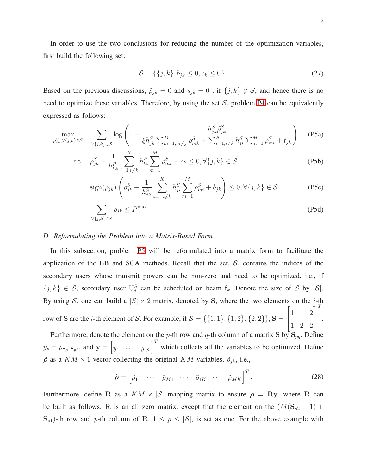In order to use the two conclusions for reducing the number of the optimization variables, first build the following set:

<span id="page-11-0"></span>
$$
S = \{\{j,k\} | b_{jk} \le 0, c_k \le 0\}.
$$
 (27)

Based on the previous discussions,  $\tilde{\rho}_{jk} = 0$  and  $s_{jk} = 0$ , if  $\{j, k\} \notin S$ , and hence there is no need to optimize these variables. Therefore, by using the set  $S$ , problem [P4](#page-10-2) can be equivalently expressed as follows:

$$
\max_{\rho_{jk}^S, \forall \{j,k\} \in \mathcal{S}} \quad \sum_{\forall \{j,k\} \in \mathcal{S}} \log \left( 1 + \frac{h_{jk}^S \tilde{\rho}_{jk}^S}{\xi h_{jk}^S \sum_{m=1, m \neq j}^M \tilde{\rho}_{mk}^S + \sum_{i=1, i \neq k}^K h_{ji}^S \sum_{m=1}^M \tilde{\rho}_{mi}^S + t_{jk}} \right) \tag{P5a}
$$

s.t. 
$$
\tilde{\rho}_{jk}^S + \frac{1}{h_{kk}^P} \sum_{i=1, i \neq k}^K h_{ki}^P \sum_{m=1}^M \tilde{\rho}_{mi}^S + c_k \le 0, \forall \{j, k\} \in \mathcal{S}
$$
 (P5b)

$$
\text{sign}(\tilde{\rho}_{jk})\left(\tilde{\rho}_{jk}^S + \frac{1}{h_{jk}^S} \sum_{i=1, i \neq k}^K h_{ji}^S \sum_{m=1}^M \tilde{\rho}_{mi}^S + b_{jk}\right) \le 0, \forall \{j, k\} \in \mathcal{S}
$$
 (P5c)

$$
\sum_{\forall \{j,k\} \in \mathcal{S}} \tilde{\rho}_{jk} \le P^{\max}.\tag{P5d}
$$

#### *D. Reformulating the Problem into a Matrix-Based Form*

In this subsection, problem [P5](#page-11-0) will be reformulated into a matrix form to facilitate the application of the BB and SCA methods. Recall that the set,  $S$ , contains the indices of the secondary users whose transmit powers can be non-zero and need to be optimized, i.e., if  $\{j,k\} \in S$ , secondary user  $\mathbb{U}_{j}^{S}$  can be scheduled on beam  $f_{k}$ . Denote the size of S by  $|S|$ . By using S, one can build a  $|S| \times 2$  matrix, denoted by S, where the two elements on the *i*-th row of **S** are the *i*-th element of *S*. For example, if  $S = \{\{1, 1\}, \{1, 2\}, \{2, 2\}\}\$ , **S** =  $\sqrt{ }$  $\overline{1}$ 1 1 2 1 2 2 1  $\overline{a}$ T .

Furthermore, denote the element on the p-th row and q-th column of a matrix S by  $S_{pq}$ . Define  $y_p = \tilde{\rho}_{\mathbf{S}_{p1}\mathbf{S}_{p2}}$ , and  $\mathbf{y} = \begin{bmatrix} y_1 & \cdots & y_{|\mathcal{S}|} \end{bmatrix}^T$  which collects all the variables to be optimized. Define  $\tilde{\rho}$  as a  $KM \times 1$  vector collecting the original  $KM$  variables,  $\tilde{\rho}_{jk}$ , i.e.,

$$
\tilde{\rho} = \begin{bmatrix} \tilde{\rho}_{11} & \cdots & \tilde{\rho}_{M1} & \cdots & \tilde{\rho}_{1K} & \cdots & \tilde{\rho}_{MK} \end{bmatrix}^T.
$$
 (28)

Furthermore, define R as a  $KM \times |\mathcal{S}|$  mapping matrix to ensure  $\tilde{\rho} = Ry$ , where R can be built as follows. R is an all zero matrix, except that the element on the  $(M(S_{p2} - 1)$  +  $\mathbf{S}_{p1}$ )-th row and p-th column of R,  $1 \leq p \leq |\mathcal{S}|$ , is set as one. For the above example with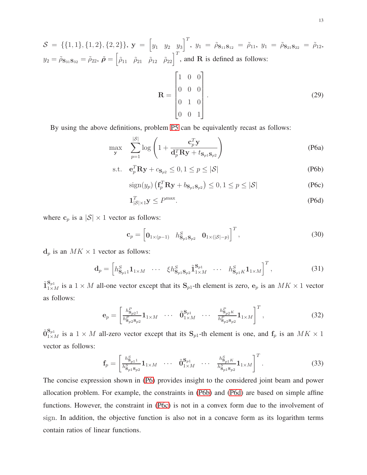$S = \{\{1,1\},\{1,2\},\{2,2\}\},\ \mathbf{y} = \begin{bmatrix} y_1 & y_2 & y_3 \end{bmatrix}^T,\ y_1 = \tilde{\rho}_{\mathbf{S}_{11}\mathbf{S}_{12}} = \tilde{\rho}_{11},\ y_1 = \tilde{\rho}_{\mathbf{S}_{21}\mathbf{S}_{22}} = \tilde{\rho}_{12},$  $y_2 = \tilde{\rho}_{\mathbf{S}_{31}\mathbf{S}_{32}} = \tilde{\rho}_{22}, \ \tilde{\rho} = \begin{bmatrix} \tilde{\rho}_{11} & \tilde{\rho}_{21} & \tilde{\rho}_{12} & \tilde{\rho}_{22} \end{bmatrix}^T$ , and **R** is defined as follows:

<span id="page-12-1"></span><span id="page-12-0"></span>
$$
\mathbf{R} = \begin{bmatrix} 1 & 0 & 0 \\ 0 & 0 & 0 \\ 0 & 1 & 0 \\ 0 & 0 & 1 \end{bmatrix} . \tag{29}
$$

By using the above definitions, problem [P5](#page-11-0) can be equivalently recast as follows:

$$
\max_{\mathbf{y}} \quad \sum_{p=1}^{|\mathcal{S}|} \log \left( 1 + \frac{\mathbf{c}_p^T \mathbf{y}}{\mathbf{d}_p^T \mathbf{R} \mathbf{y} + t_{\mathbf{S}_{p1} \mathbf{S}_{p2}}} \right) \tag{P6a}
$$

$$
\text{s.t.} \quad \mathbf{e}_p^T \mathbf{R} \mathbf{y} + c_{\mathbf{S}_{p2}} \le 0, 1 \le p \le |\mathcal{S}| \tag{P6b}
$$

<span id="page-12-3"></span>
$$
\operatorname{sign}(y_p) \left( \mathbf{f}_p^T \mathbf{R} \mathbf{y} + b_{\mathbf{S}_p \mathbf{1} \mathbf{S}_p 2} \right) \le 0, 1 \le p \le |\mathcal{S}| \tag{P6c}
$$

<span id="page-12-2"></span>
$$
\mathbf{1}_{|\mathcal{S}|\times 1}^T \mathbf{y} \le P^{\max}.\tag{P6d}
$$

where  $c_p$  is a  $|S| \times 1$  vector as follows:

$$
\mathbf{c}_p = \begin{bmatrix} \mathbf{0}_{1 \times (p-1)} & h_{\mathbf{S}_{p1} \mathbf{S}_{p2}}^S & \mathbf{0}_{1 \times (|\mathcal{S}|-p)} \end{bmatrix}^T, \tag{30}
$$

 $d_p$  is an  $MK \times 1$  vector as follows:

$$
\mathbf{d}_{p} = \begin{bmatrix} h_{\mathbf{S}_{p1}}^{S} \mathbf{1}_{1 \times M} & \cdots & \xi h_{\mathbf{S}_{p1}\mathbf{S}_{p2}}^{S} \tilde{\mathbf{1}}_{1 \times M}^{\mathbf{S}_{p1}} & \cdots & h_{\mathbf{S}_{p1}K}^{S} \mathbf{1}_{1 \times M} \end{bmatrix}^{T}, \tag{31}
$$

 $\tilde{\mathbf{1}}_{1\times M}^{S_{p1}}$  is a  $1\times M$  all-one vector except that its  $S_{p1}$ -th element is zero,  $e_p$  is an  $MK \times 1$  vector as follows:

$$
\mathbf{e}_p = \begin{bmatrix} h_{\mathbf{S}_{p2}1}^P \\ h_{\mathbf{S}_{p2} \mathbf{S}_{p2}}^P \mathbf{1}_{1 \times M} & \cdots & \tilde{\mathbf{0}}_{1 \times M}^{\mathbf{S}_{p1}} & \cdots & \frac{h_{\mathbf{S}_{p2}K}^P}{h_{\mathbf{S}_{p2} \mathbf{S}_{p2}}^P} \mathbf{1}_{1 \times M} \end{bmatrix}^T, \qquad (32)
$$

 $\tilde{0}_{1\times M}^{S_{p1}}$  is a  $1\times M$  all-zero vector except that its  $S_{p1}$ -th element is one, and  $f_p$  is an  $MK \times 1$ vector as follows:

$$
\mathbf{f}_p = \begin{bmatrix} h_{\mathbf{S}_{p1}}^S \\ \overline{h_{\mathbf{S}_{p1}}^S \mathbf{S}_{p2}} \mathbf{1}_{1 \times M} & \cdots & \widetilde{\mathbf{0}}_{1 \times M}^{\mathbf{S}_{p1}} & \cdots & \overline{h_{\mathbf{S}_{p1}}^S \mathbf{S}_{p2}} \mathbf{1}_{1 \times M} \end{bmatrix}^T.
$$
 (33)

The concise expression shown in [\(P6\)](#page-12-0) provides insight to the considered joint beam and power allocation problem. For example, the constraints in [\(P6b\)](#page-12-1) and [\(P6d\)](#page-12-2) are based on simple affine functions. However, the constraint in [\(P6c\)](#page-12-3) is not in a convex form due to the involvement of sign. In addition, the objective function is also not in a concave form as its logarithm terms contain ratios of linear functions.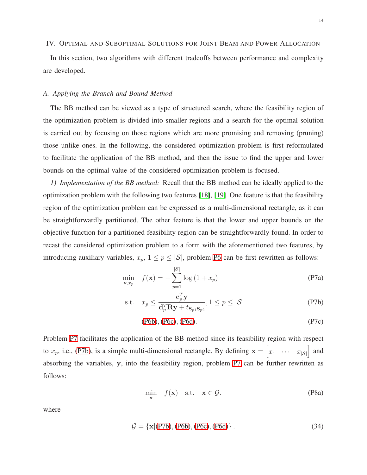## IV. OPTIMAL AND SUBOPTIMAL SOLUTIONS FOR JOINT BEAM AND POWER ALLOCATION

In this section, two algorithms with different tradeoffs between performance and complexity are developed.

# *A. Applying the Branch and Bound Method*

The BB method can be viewed as a type of structured search, where the feasibility region of the optimization problem is divided into smaller regions and a search for the optimal solution is carried out by focusing on those regions which are more promising and removing (pruning) those unlike ones. In the following, the considered optimization problem is first reformulated to facilitate the application of the BB method, and then the issue to find the upper and lower bounds on the optimal value of the considered optimization problem is focused.

*1) Implementation of the BB method:* Recall that the BB method can be ideally applied to the optimization problem with the following two features [\[18\]](#page-29-11), [\[19\]](#page-29-12). One feature is that the feasibility region of the optimization problem can be expressed as a multi-dimensional rectangle, as it can be straightforwardly partitioned. The other feature is that the lower and upper bounds on the objective function for a partitioned feasibility region can be straightforwardly found. In order to recast the considered optimization problem to a form with the aforementioned two features, by introducing auxiliary variables,  $x_p$ ,  $1 \leq p \leq |\mathcal{S}|$ , problem [P6](#page-12-0) can be first rewritten as follows:

$$
\min_{\mathbf{y},x_p} f(\mathbf{x}) = -\sum_{p=1}^{|\mathcal{S}|} \log\left(1 + x_p\right) \tag{P7a}
$$

$$
\text{s.t.} \quad x_p \le \frac{\mathbf{c}_p^T \mathbf{y}}{\mathbf{d}_p^T \mathbf{R} \mathbf{y} + t_{\mathbf{S}_{p1} \mathbf{S}_{p2}}}, 1 \le p \le |\mathcal{S}| \tag{P7b}
$$

<span id="page-13-1"></span><span id="page-13-0"></span>
$$
(P6b), (P6c), (P6d). \tag{P7c}
$$

<span id="page-13-2"></span>Problem [P7](#page-13-0) facilitates the application of the BB method since its feasibility region with respect to  $x_p$ , i.e., [\(P7b\)](#page-13-1), is a simple multi-dimensional rectangle. By defining  $\mathbf{x} = \begin{bmatrix} x_1 & \cdots & x_{|\mathcal{S}|} \end{bmatrix}$  and absorbing the variables, y, into the feasibility region, problem [P7](#page-13-0) can be further rewritten as follows:

$$
\min_{\mathbf{x}} f(\mathbf{x}) \quad \text{s.t.} \quad \mathbf{x} \in \mathcal{G}. \tag{P8a}
$$

where

$$
G = \{x | (P7b), (P6b), (P6c), (P6d)\}.
$$
 (34)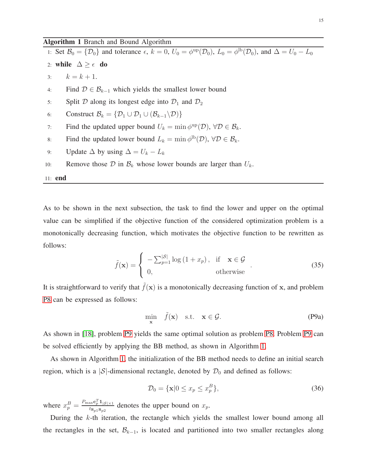# <span id="page-14-1"></span>Algorithm 1 Branch and Bound Algorithm

1: Set  $\mathcal{B}_0 = {\mathcal{D}_0}$  and tolerance  $\epsilon$ ,  $k = 0$ ,  $U_0 = \phi^{\text{up}}(\mathcal{D}_0)$ ,  $L_0 = \phi^{\text{lb}}(\mathcal{D}_0)$ , and  $\Delta = U_0 - L_0$ 2: while  $\Delta \geq \epsilon$  do 3:  $k = k + 1$ . 4: Find  $D \in \mathcal{B}_{k-1}$  which yields the smallest lower bound 5: Split  $D$  along its longest edge into  $D_1$  and  $D_2$ 6: Construct  $\mathcal{B}_k = \{ \mathcal{D}_1 \cup \mathcal{D}_1 \cup (\mathcal{B}_{k-1} \backslash \mathcal{D}) \}$ 7: Find the updated upper bound  $U_k = \min \phi^{\text{up}}(\mathcal{D})$ ,  $\forall \mathcal{D} \in \mathcal{B}_k$ . 8: Find the updated lower bound  $L_k = \min \phi^{\text{lb}}(\mathcal{D}), \forall \mathcal{D} \in \mathcal{B}_k$ . 9: Update  $\Delta$  by using  $\Delta = U_k - L_k$ 10: Remove those  $D$  in  $\mathcal{B}_k$  whose lower bounds are larger than  $U_k$ .

11: end

As to be shown in the next subsection, the task to find the lower and upper on the optimal value can be simplified if the objective function of the considered optimization problem is a monotonically decreasing function, which motivates the objective function to be rewritten as follows:

$$
\tilde{f}(\mathbf{x}) = \begin{cases}\n-\sum_{p=1}^{|\mathcal{S}|} \log(1 + x_p), & \text{if } \mathbf{x} \in \mathcal{G} \\
0, & \text{otherwise}\n\end{cases}.
$$
\n(35)

It is straightforward to verify that  $\tilde{f}(\mathbf{x})$  is a monotonically decreasing function of x, and problem [P8](#page-13-2) can be expressed as follows:

<span id="page-14-0"></span>
$$
\min_{\mathbf{x}} \quad \tilde{f}(\mathbf{x}) \quad \text{s.t.} \quad \mathbf{x} \in \mathcal{G}. \tag{P9a}
$$

As shown in [\[18\]](#page-29-11), problem [P9](#page-14-0) yields the same optimal solution as problem [P8.](#page-13-2) Problem [P9](#page-14-0) can be solved efficiently by applying the BB method, as shown in Algorithm [1.](#page-14-1)

As shown in Algorithm [1,](#page-14-1) the initialization of the BB method needs to define an initial search region, which is a  $|S|$ -dimensional rectangle, denoted by  $\mathcal{D}_0$  and defined as follows:

$$
\mathcal{D}_0 = \{ \mathbf{x} | 0 \le x_p \le x_p^B \},\tag{36}
$$

where  $x_p^B = \frac{P_{\text{max}} \mathbf{c}_p^T \mathbf{1}_{|S| \times 1}}{t_{\mathbf{S}_p} \mathbf{s}_p}$  $\frac{d \mathbf{x} \in \mathcal{L}_p \mathbf{1}_{|\mathcal{S}| \times 1}}{d \mathbf{x}_{\mathcal{B}_p \mathbf{1}_{|\mathcal{S}_p \times 2}}$  denotes the upper bound on  $x_p$ .

During the k-th iteration, the rectangle which yields the smallest lower bound among all the rectangles in the set,  $\mathcal{B}_{k-1}$ , is located and partitioned into two smaller rectangles along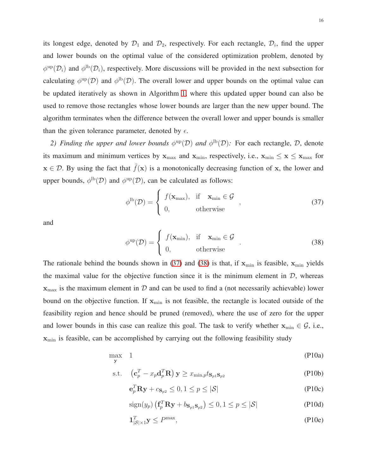its longest edge, denoted by  $\mathcal{D}_1$  and  $\mathcal{D}_2$ , respectively. For each rectangle,  $\mathcal{D}_i$ , find the upper and lower bounds on the optimal value of the considered optimization problem, denoted by  $\phi^{\text{up}}(\mathcal{D}_i)$  and  $\phi^{\text{lb}}(\mathcal{D}_i)$ , respectively. More discussions will be provided in the next subsection for calculating  $\phi^{\text{up}}(\mathcal{D})$  and  $\phi^{\text{lb}}(\mathcal{D})$ . The overall lower and upper bounds on the optimal value can be updated iteratively as shown in Algorithm [1,](#page-14-1) where this updated upper bound can also be used to remove those rectangles whose lower bounds are larger than the new upper bound. The algorithm terminates when the difference between the overall lower and upper bounds is smaller than the given tolerance parameter, denoted by  $\epsilon$ .

2) Finding the upper and lower bounds  $\phi^{\text{up}}(D)$  and  $\phi^{\text{lb}}(D)$ : For each rectangle, D, denote its maximum and minimum vertices by  $x_{\text{max}}$  and  $x_{\text{min}}$ , respectively, i.e.,  $x_{\text{min}} \le x \le x_{\text{max}}$  for  $x \in \mathcal{D}$ . By using the fact that  $\tilde{f}(x)$  is a monotonically decreasing function of x, the lower and upper bounds,  $\phi^{\text{lb}}(\mathcal{D})$  and  $\phi^{\text{up}}(\mathcal{D})$ , can be calculated as follows:

<span id="page-15-0"></span>
$$
\phi^{\text{lb}}(\mathcal{D}) = \begin{cases} f(\mathbf{x}_{\text{max}}), & \text{if } \mathbf{x}_{\text{min}} \in \mathcal{G} \\ 0, & \text{otherwise} \end{cases}
$$
 (37)

and

<span id="page-15-1"></span>
$$
\phi^{\text{up}}(\mathcal{D}) = \begin{cases} f(\mathbf{x}_{\text{min}}), & \text{if } \mathbf{x}_{\text{min}} \in \mathcal{G} \\ 0, & \text{otherwise} \end{cases} . \tag{38}
$$

The rationale behind the bounds shown in [\(37\)](#page-15-0) and [\(38\)](#page-15-1) is that, if  $x_{min}$  is feasible,  $x_{min}$  yields the maximal value for the objective function since it is the minimum element in  $\mathcal{D}$ , whereas  $x_{\text{max}}$  is the maximum element in D and can be used to find a (not necessarily achievable) lower bound on the objective function. If  $x_{min}$  is not feasible, the rectangle is located outside of the feasibility region and hence should be pruned (removed), where the use of zero for the upper and lower bounds in this case can realize this goal. The task to verify whether  $x_{\min} \in \mathcal{G}$ , i.e.,  $x<sub>min</sub>$  is feasible, can be accomplished by carrying out the following feasibility study

$$
\max_{\mathbf{y}} \quad 1 \tag{P10a}
$$

$$
\text{s.t.} \quad \left( \mathbf{c}_p^T - x_p \mathbf{d}_p^T \mathbf{R} \right) \mathbf{y} \geq x_{\min, p} t_{\mathbf{S}_{p1} \mathbf{S}_{p2}} \tag{P10b}
$$

<span id="page-15-4"></span><span id="page-15-3"></span>
$$
\mathbf{e}_p^T \mathbf{R} \mathbf{y} + c_{\mathbf{S}_{p2}} \le 0, 1 \le p \le |\mathcal{S}| \tag{P10c}
$$

<span id="page-15-6"></span><span id="page-15-5"></span><span id="page-15-2"></span>
$$
\operatorname{sign}(y_p) \left( \mathbf{f}_p^T \mathbf{R} \mathbf{y} + b_{\mathbf{S}_p \mathbf{1} \mathbf{S}_p 2} \right) \le 0, 1 \le p \le |\mathcal{S}| \tag{P10d}
$$

$$
\mathbf{1}_{|\mathcal{S}|\times 1}^T \mathbf{y} \le P^{\max},\tag{P10e}
$$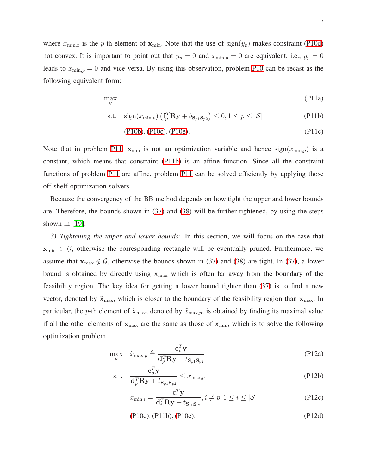where  $x_{\min,p}$  is the p-th element of  $x_{\min}$ . Note that the use of  $sign(y_p)$  makes constraint [\(P10d\)](#page-15-2) not convex. It is important to point out that  $y_p = 0$  and  $x_{\min,p} = 0$  are equivalent, i.e.,  $y_p = 0$ leads to  $x_{\min,p} = 0$  and vice versa. By using this observation, problem [P10](#page-15-3) can be recast as the following equivalent form:

<span id="page-16-0"></span>
$$
\max_{\mathbf{y}} \quad 1 \tag{P11a}
$$

$$
\text{s.t. } \quad \text{sign}(x_{\min,p}) \left( \mathbf{f}_p^T \mathbf{R} \mathbf{y} + b_{\mathbf{S}_p \mathbf{1} \mathbf{S}_{p2}} \right) \le 0, 1 \le p \le |\mathcal{S}| \tag{P11b}
$$

<span id="page-16-1"></span>
$$
(P10b), (P10c), (P10e). \t\t (P11c)
$$

Note that in problem [P11,](#page-16-0)  $x_{\min}$  is not an optimization variable and hence  $sign(x_{\min,p})$  is a constant, which means that constraint [\(P11b\)](#page-16-1) is an affine function. Since all the constraint functions of problem [P11](#page-16-0) are affine, problem [P11](#page-16-0) can be solved efficiently by applying those off-shelf optimization solvers.

Because the convergency of the BB method depends on how tight the upper and lower bounds are. Therefore, the bounds shown in [\(37\)](#page-15-0) and [\(38\)](#page-15-1) will be further tightened, by using the steps shown in [\[19\]](#page-29-12).

*3) Tightening the upper and lower bounds:* In this section, we will focus on the case that  $x_{\min} \in \mathcal{G}$ , otherwise the corresponding rectangle will be eventually pruned. Furthermore, we assume that  $x_{\text{max}} \notin \mathcal{G}$ , otherwise the bounds shown in [\(37\)](#page-15-0) and [\(38\)](#page-15-1) are tight. In (37), a lower bound is obtained by directly using  $x_{\text{max}}$  which is often far away from the boundary of the feasibility region. The key idea for getting a lower bound tighter than [\(37\)](#page-15-0) is to find a new vector, denoted by  $\tilde{\mathbf{x}}_{\text{max}}$ , which is closer to the boundary of the feasibility region than  $\mathbf{x}_{\text{max}}$ . In particular, the p-th element of  $\tilde{\mathbf{x}}_{\text{max}}$ , denoted by  $\tilde{x}_{\text{max},p}$ , is obtained by finding its maximal value if all the other elements of  $\tilde{\mathbf{x}}_{\text{max}}$  are the same as those of  $\mathbf{x}_{\text{min}}$ , which is to solve the following optimization problem

<span id="page-16-2"></span>
$$
\max_{\mathbf{y}} \quad \tilde{x}_{\max,p} \triangleq \frac{\mathbf{c}_p^T \mathbf{y}}{\mathbf{d}_p^T \mathbf{R} \mathbf{y} + t_{\mathbf{S}_p \mathbf{1} \mathbf{S}_{p2}}} \tag{P12a}
$$

$$
\text{s.t.} \quad \frac{\mathbf{c}_p^T \mathbf{y}}{\mathbf{d}_p^T \mathbf{R} \mathbf{y} + t_{\mathbf{S}_p \mathbf{1} \mathbf{S}_{p2}}} \le x_{\max, p} \tag{P12b}
$$

$$
x_{\min,i} = \frac{\mathbf{c}_i^T \mathbf{y}}{\mathbf{d}_i^T \mathbf{R} \mathbf{y} + t_{\mathbf{S}_{i1} \mathbf{S}_{i2}}}, i \neq p, 1 \le i \le |\mathcal{S}|
$$
 (P12c)

$$
(P10c), (P11b), (P10e). \t\t (P12d)
$$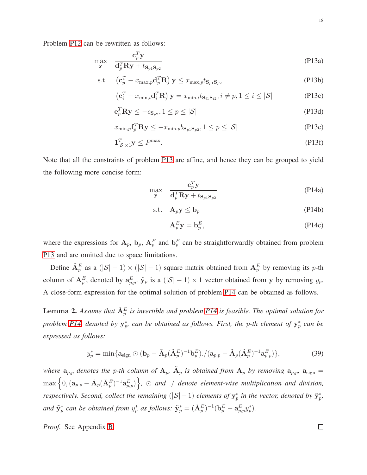<span id="page-17-0"></span>
$$
\max_{\mathbf{y}} \quad \frac{\mathbf{c}_p^T \mathbf{y}}{\mathbf{d}_p^T \mathbf{R} \mathbf{y} + t_{\mathbf{S}_{p1} \mathbf{S}_{p2}}} \tag{P13a}
$$

$$
\text{s.t.} \quad \left(\mathbf{c}_p^T - x_{\max,p} \mathbf{d}_p^T \mathbf{R}\right) \mathbf{y} \leq x_{\max,p} t_{\mathbf{S}_p \mathbf{1} \mathbf{S}_{p2}} \tag{P13b}
$$

$$
\left(\mathbf{c}_{i}^{T} - x_{\min,i}\mathbf{d}_{i}^{T}\mathbf{R}\right)\mathbf{y} = x_{\min,i}t_{\mathbf{S}_{i1}\mathbf{S}_{i2}}, i \neq p, 1 \leq i \leq |\mathcal{S}|
$$
\n(P13c)

$$
\mathbf{e}_p^T \mathbf{R} \mathbf{y} \le -c_{\mathbf{S}_{p2}}, 1 \le p \le |\mathcal{S}| \tag{P13d}
$$

$$
x_{\min,p} \mathbf{f}_p^T \mathbf{R} \mathbf{y} \le -x_{\min,p} b_{\mathbf{S}_p \mathbf{1} \mathbf{S}_{p2}}, 1 \le p \le |\mathcal{S}| \tag{P13e}
$$

$$
\mathbf{1}_{|\mathcal{S}|\times 1}^T \mathbf{y} \le P^{\max}.\tag{P13f}
$$

Note that all the constraints of problem [P13](#page-17-0) are affine, and hence they can be grouped to yield the following more concise form:

<span id="page-17-1"></span>
$$
\max_{\mathbf{y}} \quad \frac{\mathbf{c}_p^T \mathbf{y}}{\mathbf{d}_p^T \mathbf{R} \mathbf{y} + t_{\mathbf{S}_{p1} \mathbf{S}_{p2}}} \tag{P14a}
$$

$$
\text{s.t.} \quad \mathbf{A}_p \mathbf{y} \le \mathbf{b}_p \tag{P14b}
$$

$$
\mathbf{A}_p^E \mathbf{y} = \mathbf{b}_p^E, \tag{P14c}
$$

where the expressions for  $A_p$ ,  $b_p$ ,  $A_p^E$  and  $b_p^E$  can be straightforwardly obtained from problem [P13](#page-17-0) and are omitted due to space limitations.

Define  $\tilde{A}_p^E$  as a  $(|S|-1) \times (|S|-1)$  square matrix obtained from  $A_p^E$  by removing its p-th column of  $A_p^E$ , denoted by  $a_{p,p}^E$ .  $\tilde{y}_p$  is a  $(|S|-1) \times 1$  vector obtained from y by removing  $y_p$ . A close-form expression for the optimal solution of problem [P14](#page-17-1) can be obtained as follows.

<span id="page-17-2"></span>**Lemma 2.** Assume that  $\tilde{A}_p^E$  is invertible and problem [P14](#page-17-1) is feasible. The optimal solution for *problem [P14,](#page-17-1) denoted by*  $y_p^*$ *, can be obtained as follows. First, the p-th element of*  $y_p^*$  *can be expressed as follows:*

$$
y_p^* = \min\{\mathbf{a}_{\text{sign}}\odot(\mathbf{b}_p - \tilde{\mathbf{A}}_p(\tilde{\mathbf{A}}_p^E)^{-1}\mathbf{b}_p^E). / (\mathbf{a}_{p,p} - \tilde{\mathbf{A}}_p(\tilde{\mathbf{A}}_p^E)^{-1}\mathbf{a}_{p,p}^E)\},\tag{39}
$$

where  $a_{p,p}$  denotes the p-th column of  $A_p$ ,  $\tilde{A}_p$  is obtained from  $A_p$  by removing  $a_{p,p}$ ,  $a_{\text{sign}} =$  $\max\Big\{0,(\mathbf{a}_{p,p}-\tilde{\mathbf{A}}_p(\tilde{\mathbf{A}}_p^E)^{-1}\mathbf{a}_{p,p}^E)\Big\},\,$   $\odot$  *and* ./ *denote element-wise multiplication and division, respectively. Second, collect the remaining*  $(|S| - 1)$  *elements of*  $y_p^*$  *in the vector, denoted by*  $\tilde{y}_p^*$ *,* and  $\tilde{\mathbf{y}}_p^*$  can be obtained from  $y_p^*$  as follows:  $\tilde{\mathbf{y}}_p^* = (\tilde{\mathbf{A}}_p^E)^{-1} (\mathbf{b}_p^E - \mathbf{a}_{p,p}^E y_p^* )$ .

*Proof.* See Appendix [B](#page-27-0)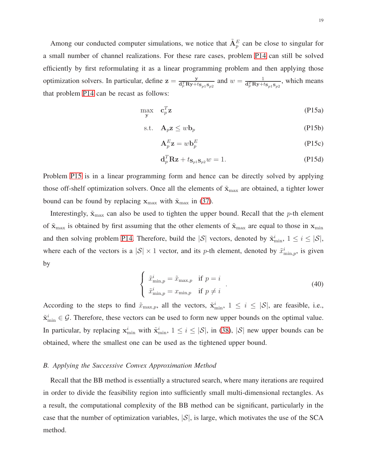Among our conducted computer simulations, we notice that  $\tilde{A}^E_p$  can be close to singular for a small number of channel realizations. For these rare cases, problem [P14](#page-17-1) can still be solved efficiently by first reformulating it as a linear programming problem and then applying those optimization solvers. In particular, define  $z = \frac{y}{d^T B y + i}$  $\frac{y}{d_p^T R y + t_{S_p 1} S_{p2}}$  and  $w = \frac{1}{d_p^T R y + t_{S_p 1} S_{p2}}$ , which means that problem [P14](#page-17-1) can be recast as follows:

<span id="page-18-0"></span>
$$
\max_{\mathbf{y}} \quad \mathbf{c}_p^T \mathbf{z} \tag{P15a}
$$

$$
\text{s.t.} \quad \mathbf{A}_p \mathbf{z} \le w \mathbf{b}_p \tag{P15b}
$$

$$
\mathbf{A}_p^E \mathbf{z} = w \mathbf{b}_p^E \tag{P15c}
$$

$$
\mathbf{d}_p^T \mathbf{R} \mathbf{z} + t_{\mathbf{S}_p \mathbf{1} \mathbf{S}_p 2} w = 1. \tag{P15d}
$$

Problem [P15](#page-18-0) is in a linear programming form and hence can be directly solved by applying those off-shelf optimization solvers. Once all the elements of  $\tilde{\mathbf{x}}_{\text{max}}$  are obtained, a tighter lower bound can be found by replacing  $x_{\text{max}}$  with  $\tilde{x}_{\text{max}}$  in [\(37\)](#page-15-0).

Interestingly,  $\tilde{\mathbf{x}}_{\text{max}}$  can also be used to tighten the upper bound. Recall that the p-th element of  $\tilde{\mathbf{x}}_{\text{max}}$  is obtained by first assuming that the other elements of  $\tilde{\mathbf{x}}_{\text{max}}$  are equal to those in  $\mathbf{x}_{\text{min}}$ and then solving problem [P14.](#page-17-1) Therefore, build the  $|S|$  vectors, denoted by  $\tilde{\mathbf{x}}_{\min}^i$ ,  $1 \le i \le |S|$ , where each of the vectors is a  $|S| \times 1$  vector, and its p-th element, denoted by  $\tilde{x}_{\min,p}^i$ , is given by

$$
\begin{cases}\n\tilde{x}_{\min,p}^i = \tilde{x}_{\max,p} & \text{if } p = i \\
\tilde{x}_{\min,p}^i = x_{\min,p} & \text{if } p \neq i\n\end{cases} \tag{40}
$$

According to the steps to find  $\tilde{x}_{\max,p}$ , all the vectors,  $\tilde{\mathbf{x}}_{\min}^i$ ,  $1 \le i \le |\mathcal{S}|$ , are feasible, i.e.,  $\tilde{\mathbf{x}}_{\min}^i \in \mathcal{G}$ . Therefore, these vectors can be used to form new upper bounds on the optimal value. In particular, by replacing  $x_{\min}^i$  with  $\tilde{x}_{\min}^i$ ,  $1 \leq i \leq |\mathcal{S}|$ , in [\(38\)](#page-15-1),  $|\mathcal{S}|$  new upper bounds can be obtained, where the smallest one can be used as the tightened upper bound.

#### *B. Applying the Successive Convex Approximation Method*

Recall that the BB method is essentially a structured search, where many iterations are required in order to divide the feasibility region into sufficiently small multi-dimensional rectangles. As a result, the computational complexity of the BB method can be significant, particularly in the case that the number of optimization variables,  $|S|$ , is large, which motivates the use of the SCA method.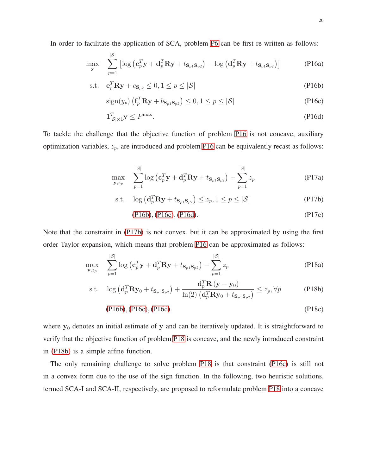In order to facilitate the application of SCA, problem [P6](#page-12-0) can be first re-written as follows:

$$
\max_{\mathbf{y}} \quad \sum_{p=1}^{|\mathcal{S}|} \left[ \log \left( \mathbf{c}_p^T \mathbf{y} + \mathbf{d}_p^T \mathbf{R} \mathbf{y} + t_{\mathbf{S}_{p1} \mathbf{S}_{p2}} \right) - \log \left( \mathbf{d}_p^T \mathbf{R} \mathbf{y} + t_{\mathbf{S}_{p1} \mathbf{S}_{p2}} \right) \right]
$$
(P16a)

$$
\text{s.t.} \quad \mathbf{e}_p^T \mathbf{R} \mathbf{y} + c_{\mathbf{S}_{p2}} \le 0, 1 \le p \le |\mathcal{S}| \tag{P16b}
$$

<span id="page-19-2"></span><span id="page-19-1"></span><span id="page-19-0"></span>
$$
\operatorname{sign}(y_p) \left( \mathbf{f}_p^T \mathbf{R} \mathbf{y} + b_{\mathbf{S}_{p1} \mathbf{S}_{p2}} \right) \le 0, 1 \le p \le |\mathcal{S}| \tag{P16c}
$$

<span id="page-19-3"></span>
$$
\mathbf{1}_{|\mathcal{S}|\times 1}^T \mathbf{y} \le P^{\max}.\tag{P16d}
$$

<span id="page-19-7"></span>To tackle the challenge that the objective function of problem [P16](#page-19-0) is not concave, auxiliary optimization variables,  $z_p$ , are introduced and problem [P16](#page-19-0) can be equivalently recast as follows:

$$
\max_{\mathbf{y},z_p} \sum_{p=1}^{|\mathcal{S}|} \log \left( \mathbf{c}_p^T \mathbf{y} + \mathbf{d}_p^T \mathbf{R} \mathbf{y} + t_{\mathbf{S}_{p1} \mathbf{S}_{p2}} \right) - \sum_{p=1}^{|\mathcal{S}|} z_p \tag{P17a}
$$

$$
\text{s.t. } \log\left(\mathbf{d}_p^T \mathbf{R} \mathbf{y} + t_{\mathbf{S}_{p1} \mathbf{S}_{p2}}\right) \le z_p, 1 \le p \le |\mathcal{S}| \tag{P17b}
$$

<span id="page-19-6"></span><span id="page-19-5"></span><span id="page-19-4"></span>[\(P16b\)](#page-19-1), [\(P16c\)](#page-19-2), [\(P16d\)](#page-19-3). (P17c)

Note that the constraint in [\(P17b\)](#page-19-4) is not convex, but it can be approximated by using the first order Taylor expansion, which means that problem [P16](#page-19-0) can be approximated as follows:

$$
\max_{\mathbf{y},z_p} \quad \sum_{p=1}^{|\mathcal{S}|} \log \left( \mathbf{c}_p^T \mathbf{y} + \mathbf{d}_p^T \mathbf{R} \mathbf{y} + t_{\mathbf{S}_{p1} \mathbf{S}_{p2}} \right) - \sum_{p=1}^{|\mathcal{S}|} z_p \tag{P18a}
$$

$$
\text{s.t.} \quad \log\left(\mathbf{d}_{p}^{T} \mathbf{R} \mathbf{y}_{0} + t_{\mathbf{S}_{p1} \mathbf{S}_{p2}}\right) + \frac{\mathbf{d}_{p}^{T} \mathbf{R}\left(\mathbf{y} - \mathbf{y}_{0}\right)}{\ln(2)\left(\mathbf{d}_{p}^{T} \mathbf{R} \mathbf{y}_{0} + t_{\mathbf{S}_{p1} \mathbf{S}_{p2}}\right)} \leq z_{p}, \forall p \tag{P18b}
$$

$$
(P16b), (P16c), (P16d). \t\t (P18c)
$$

where  $y_0$  denotes an initial estimate of y and can be iteratively updated. It is straightforward to verify that the objective function of problem [P18](#page-19-5) is concave, and the newly introduced constraint in [\(P18b\)](#page-19-6) is a simple affine function.

The only remaining challenge to solve problem [P18](#page-19-5) is that constraint [\(P16c\)](#page-19-2) is still not in a convex form due to the use of the sign function. In the following, two heuristic solutions, termed SCA-I and SCA-II, respectively, are proposed to reformulate problem [P18](#page-19-5) into a concave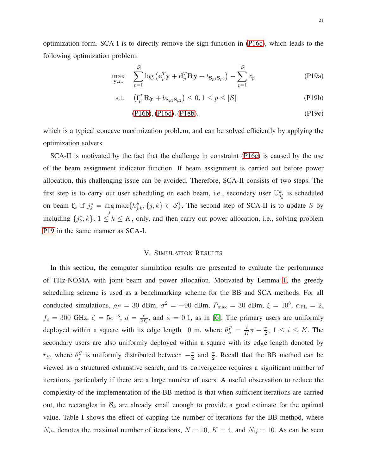optimization form. SCA-I is to directly remove the sign function in [\(P16c\)](#page-19-2), which leads to the following optimization problem:

<span id="page-20-0"></span>
$$
\max_{\mathbf{y},z_p} \quad \sum_{p=1}^{|\mathcal{S}|} \log \left( \mathbf{c}_p^T \mathbf{y} + \mathbf{d}_p^T \mathbf{R} \mathbf{y} + t_{\mathbf{S}_p \mathbf{1} \mathbf{S}_p 2} \right) - \sum_{p=1}^{|\mathcal{S}|} z_p \tag{P19a}
$$

$$
\text{s.t.} \quad \left(\mathbf{f}_p^T \mathbf{R} \mathbf{y} + b_{\mathbf{S}_p \mathbf{1}} \mathbf{S}_{p2}\right) \leq 0, 1 \leq p \leq |\mathcal{S}| \tag{P19b}
$$

$$
(P16b), (P16d), (P18b), \t(P19c)
$$

which is a typical concave maximization problem, and can be solved efficiently by applying the optimization solvers.

SCA-II is motivated by the fact that the challenge in constraint [\(P16c\)](#page-19-2) is caused by the use of the beam assignment indicator function. If beam assignment is carried out before power allocation, this challenging issue can be avoided. Therefore, SCA-II consists of two steps. The first step is to carry out user scheduling on each beam, i.e., secondary user  $U_{j_k}^k$  is scheduled on beam  $f_k$  if  $j_k^* = \arg \max_j \{h_{j,k}^S, \{j,k\} \in S\}$ . The second step of SCA-II is to update S by including  $\{j_k^*, k\}$ ,  $1 \le k \le K$ , only, and then carry out power allocation, i.e., solving problem [P19](#page-20-0) in the same manner as SCA-I.

#### V. SIMULATION RESULTS

In this section, the computer simulation results are presented to evaluate the performance of THz-NOMA with joint beam and power allocation. Motivated by Lemma [1,](#page-8-1) the greedy scheduling scheme is used as a benchmarking scheme for the BB and SCA methods. For all conducted simulations,  $\rho_P = 30$  dBm,  $\sigma^2 = -90$  dBm,  $P_{\text{max}} = 30$  dBm,  $\xi = 10^8$ ,  $\alpha_{\text{PL}} = 2$ ,  $f_c = 300 \text{ GHz}, \zeta = 5e^{-3}, d = \frac{c}{24}$  $\frac{c}{2f_c}$ , and  $\phi = 0.1$ , as in [\[6\]](#page-29-0). The primary users are uniformly deployed within a square with its edge length 10 m, where  $\theta_k^P = \frac{i}{K}$  $\frac{i}{K}\pi-\frac{\pi}{2}$  $\frac{\pi}{2}$ ,  $1 \leq i \leq K$ . The secondary users are also uniformly deployed within a square with its edge length denoted by  $r_S$ , where  $\theta_j^S$  is uniformly distributed between  $-\frac{\pi}{2}$  $\frac{\pi}{2}$  and  $\frac{\pi}{2}$ . Recall that the BB method can be viewed as a structured exhaustive search, and its convergence requires a significant number of iterations, particularly if there are a large number of users. A useful observation to reduce the complexity of the implementation of the BB method is that when sufficient iterations are carried out, the rectangles in  $\mathcal{B}_k$  are already small enough to provide a good estimate for the optimal value. Table I shows the effect of capping the number of iterations for the BB method, where  $N_{itr}$  denotes the maximal number of iterations,  $N = 10$ ,  $K = 4$ , and  $N_Q = 10$ . As can be seen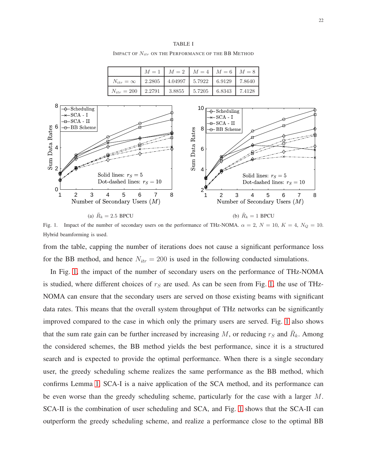#### TABLE I

IMPACT OF  $N_{itr}$  ON THE PERFORMANCE OF THE BB METHOD

|                    |        | $M = 1$   $M = 2$   $M = 4$   $M = 6$   $M = 8$       |  |        |
|--------------------|--------|-------------------------------------------------------|--|--------|
| $N_{itr} = \infty$ |        | $2.2805$   $4.04997$   $5.7922$   $6.9129$   $7.8640$ |  |        |
| $N_{itr} = 200$    | 2.2791 | 3.8855   5.7205   6.8343                              |  | 7.4128 |



<span id="page-21-0"></span>Fig. 1. Impact of the number of secondary users on the performance of THz-NOMA.  $\alpha = 2$ ,  $N = 10$ ,  $K = 4$ ,  $N_Q = 10$ . Hybrid beamforming is used.

from the table, capping the number of iterations does not cause a significant performance loss for the BB method, and hence  $N_{itr} = 200$  is used in the following conducted simulations.

In Fig. [1,](#page-21-0) the impact of the number of secondary users on the performance of THz-NOMA is studied, where different choices of  $r<sub>S</sub>$  are used. As can be seen from Fig. [1,](#page-21-0) the use of THz-NOMA can ensure that the secondary users are served on those existing beams with significant data rates. This means that the overall system throughput of THz networks can be significantly improved compared to the case in which only the primary users are served. Fig. [1](#page-21-0) also shows that the sum rate gain can be further increased by increasing M, or reducing  $r_S$  and  $\bar{R}_k$ . Among the considered schemes, the BB method yields the best performance, since it is a structured search and is expected to provide the optimal performance. When there is a single secondary user, the greedy scheduling scheme realizes the same performance as the BB method, which confirms Lemma [1.](#page-8-1) SCA-I is a naive application of the SCA method, and its performance can be even worse than the greedy scheduling scheme, particularly for the case with a larger M. SCA-II is the combination of user scheduling and SCA, and Fig. [1](#page-21-0) shows that the SCA-II can outperform the greedy scheduling scheme, and realize a performance close to the optimal BB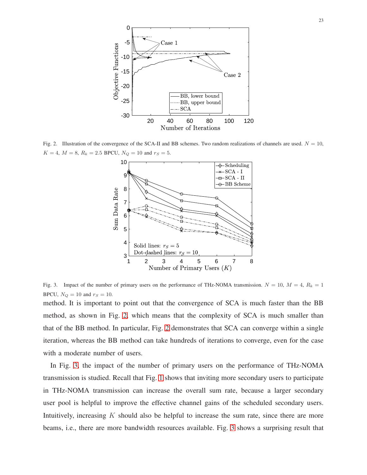

<span id="page-22-0"></span>Fig. 2. Illustration of the convergence of the SCA-II and BB schemes. Two random realizations of channels are used.  $N = 10$ ,  $K = 4, M = 8, R_k = 2.5$  BPCU,  $N_Q = 10$  and  $r_S = 5$ .



<span id="page-22-1"></span>Fig. 3. Impact of the number of primary users on the performance of THz-NOMA transmission.  $N = 10$ ,  $M = 4$ ,  $R_k = 1$ BPCU,  $N_Q = 10$  and  $r_S = 10$ .

method. It is important to point out that the convergence of SCA is much faster than the BB method, as shown in Fig. [2,](#page-22-0) which means that the complexity of SCA is much smaller than that of the BB method. In particular, Fig. [2](#page-22-0) demonstrates that SCA can converge within a single iteration, whereas the BB method can take hundreds of iterations to converge, even for the case with a moderate number of users.

In Fig. [3,](#page-22-1) the impact of the number of primary users on the performance of THz-NOMA transmission is studied. Recall that Fig. [1](#page-21-0) shows that inviting more secondary users to participate in THz-NOMA transmission can increase the overall sum rate, because a larger secondary user pool is helpful to improve the effective channel gains of the scheduled secondary users. Intuitively, increasing  $K$  should also be helpful to increase the sum rate, since there are more beams, i.e., there are more bandwidth resources available. Fig. [3](#page-22-1) shows a surprising result that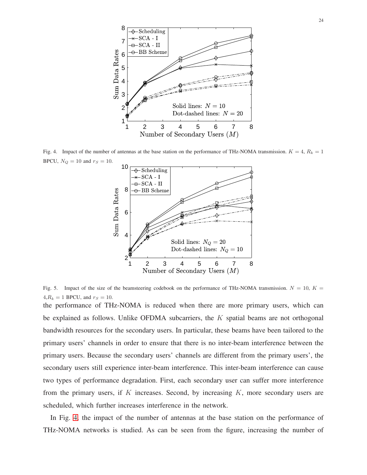

<span id="page-23-0"></span>Fig. 4. Impact of the number of antennas at the base station on the performance of THz-NOMA transmission.  $K = 4$ ,  $R_k = 1$ BPCU,  $N_Q = 10$  and  $r_S = 10$ .



<span id="page-23-1"></span>Fig. 5. Impact of the size of the beamsteering codebook on the performance of THz-NOMA transmission.  $N = 10$ ,  $K =$  $4, R_k = 1$  BPCU, and  $r_s = 10$ .

the performance of THz-NOMA is reduced when there are more primary users, which can be explained as follows. Unlike OFDMA subcarriers, the  $K$  spatial beams are not orthogonal bandwidth resources for the secondary users. In particular, these beams have been tailored to the primary users' channels in order to ensure that there is no inter-beam interference between the primary users. Because the secondary users' channels are different from the primary users', the secondary users still experience inter-beam interference. This inter-beam interference can cause two types of performance degradation. First, each secondary user can suffer more interference from the primary users, if  $K$  increases. Second, by increasing  $K$ , more secondary users are scheduled, which further increases interference in the network.

In Fig. [4,](#page-23-0) the impact of the number of antennas at the base station on the performance of THz-NOMA networks is studied. As can be seen from the figure, increasing the number of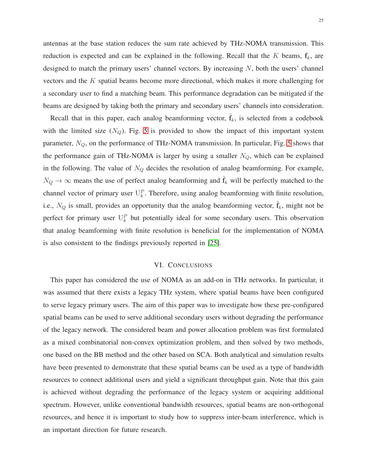antennas at the base station reduces the sum rate achieved by THz-NOMA transmission. This reduction is expected and can be explained in the following. Recall that the  $K$  beams,  $f_k$ , are designed to match the primary users' channel vectors. By increasing  $N$ , both the users' channel vectors and the K spatial beams become more directional, which makes it more challenging for a secondary user to find a matching beam. This performance degradation can be mitigated if the beams are designed by taking both the primary and secondary users' channels into consideration.

Recall that in this paper, each analog beamforming vector,  $\tilde{\mathbf{f}}_k$ , is selected from a codebook with the limited size  $(N_Q)$ . Fig. [5](#page-23-1) is provided to show the impact of this important system parameter,  $N_Q$ , on the performance of THz-NOMA transmission. In particular, Fig. [5](#page-23-1) shows that the performance gain of THz-NOMA is larger by using a smaller  $N_Q$ , which can be explained in the following. The value of  $N_Q$  decides the resolution of analog beamforming. For example,  $N_Q \rightarrow \infty$  means the use of perfect analog beamforming and  $\tilde{f}_k$  will be perfectly matched to the channel vector of primary user  $U_k^P$ . Therefore, using analog beamforming with finite resolution, i.e.,  $N_Q$  is small, provides an opportunity that the analog beamforming vector,  $\tilde{\mathbf{f}}_k$ , might not be perfect for primary user  $U_k^P$  but potentially ideal for some secondary users. This observation that analog beamforming with finite resolution is beneficial for the implementation of NOMA is also consistent to the findings previously reported in [\[25\]](#page-29-18).

# VI. CONCLUSIONS

This paper has considered the use of NOMA as an add-on in THz networks. In particular, it was assumed that there exists a legacy THz system, where spatial beams have been configured to serve legacy primary users. The aim of this paper was to investigate how these pre-configured spatial beams can be used to serve additional secondary users without degrading the performance of the legacy network. The considered beam and power allocation problem was first formulated as a mixed combinatorial non-convex optimization problem, and then solved by two methods, one based on the BB method and the other based on SCA. Both analytical and simulation results have been presented to demonstrate that these spatial beams can be used as a type of bandwidth resources to connect additional users and yield a significant throughput gain. Note that this gain is achieved without degrading the performance of the legacy system or acquiring additional spectrum. However, unlike conventional bandwidth resources, spatial beams are non-orthogonal resources, and hence it is important to study how to suppress inter-beam interference, which is an important direction for future research.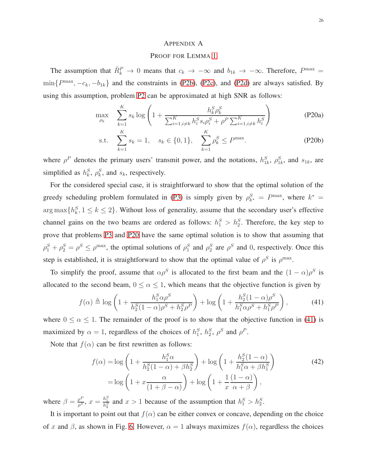#### <span id="page-25-1"></span><span id="page-25-0"></span>APPENDIX A

# PROOF FOR LEMMA [1](#page-8-1)

The assumption that  $\bar{R}_k^P \to 0$  means that  $c_k \to -\infty$  and  $b_{1k} \to -\infty$ . Therefore,  $P^{\max} =$  $\min\{P^{\max}, -c_k, -b_{1k}\}\$  and the constraints in [\(P2b\)](#page-7-3), [\(P2c\)](#page-7-4), and [\(P2d\)](#page-7-5) are always satisfied. By using this assumption, problem [P2](#page-7-2) can be approximated at high SNR as follows:

$$
\max_{\rho_k} \sum_{k=1}^K s_k \log \left( 1 + \frac{h_k^S \rho_k^S}{\sum_{i=1, i \neq k}^K h_i^S s_i \rho_i^S + \rho^P \sum_{i=1, i \neq k}^K h_i^S} \right) \tag{P20a}
$$

s.t. 
$$
\sum_{k=1}^{R} s_k = 1, \quad s_k \in \{0, 1\}, \quad \sum_{k=1}^{R} \rho_k^S \le P^{\max}.
$$
 (P20b)

where  $\rho^P$  denotes the primary users' transmit power, and the notations,  $h_{1k}^S$ ,  $\rho_{1k}^S$ , and  $s_{1k}$ , are simplified as  $h_k^S$ ,  $\rho_k^S$ , and  $s_k$ , respectively.

For the considered special case, it is straightforward to show that the optimal solution of the greedy scheduling problem formulated in [\(P3\)](#page-8-0) is simply given by  $\rho_{k^*}^S = P^{\max}$ , where  $k^* =$  $\arg \max \{ h_k^S, 1 \le k \le 2 \}$ . Without loss of generality, assume that the secondary user's effective channel gains on the two beams are ordered as follows:  $h_1^S > h_2^S$ . Therefore, the key step to prove that problems [P3](#page-8-0) and [P20](#page-25-1) have the same optimal solution is to show that assuming that  $\rho_1^S + \rho_2^S = \rho^S \le \rho^{\text{max}}$ , the optimal solutions of  $\rho_1^S$  and  $\rho_2^S$  are  $\rho^S$  and 0, respectively. Once this step is established, it is straightforward to show that the optimal value of  $\rho^S$  is  $\rho^{\max}$ .

To simplify the proof, assume that  $\alpha \rho^S$  is allocated to the first beam and the  $(1 - \alpha)\rho^S$  is allocated to the second beam,  $0 \le \alpha \le 1$ , which means that the objective function is given by

$$
f(\alpha) \triangleq \log \left( 1 + \frac{h_1^S \alpha \rho^S}{h_2^S (1 - \alpha) \rho^S + h_2^S \rho^P} \right) + \log \left( 1 + \frac{h_2^S (1 - \alpha) \rho^S}{h_1^S \alpha \rho^S + h_1^S \rho^P} \right),
$$
(41)

where  $0 \le \alpha \le 1$ . The remainder of the proof is to show that the objective function in [\(41\)](#page-25-2) is maximized by  $\alpha = 1$ , regardless of the choices of  $h_1^S$ ,  $h_2^S$ ,  $\rho^S$  and  $\rho^P$ .

Note that  $f(\alpha)$  can be first rewritten as follows:

<span id="page-25-2"></span>
$$
f(\alpha) = \log \left( 1 + \frac{h_1^S \alpha}{h_2^S (1 - \alpha) + \beta h_2^S} \right) + \log \left( 1 + \frac{h_2^S (1 - \alpha)}{h_1^S \alpha + \beta h_1^S} \right)
$$
(42)  
=  $\log \left( 1 + x \frac{\alpha}{(1 + \beta - \alpha)} \right) + \log \left( 1 + \frac{1}{x} \frac{(1 - \alpha)}{\alpha + \beta} \right)$ ,

where  $\beta = \frac{\rho^F}{\rho^S}$  $\frac{\rho^P}{\rho^S}$ ,  $x = \frac{h_1^S}{h_2^S}$  and  $x > 1$  because of the assumption that  $h_1^S > h_2^S$ .

It is important to point out that  $f(\alpha)$  can be either convex or concave, depending on the choice of x and  $\beta$ , as shown in Fig. [6.](#page-26-0) However,  $\alpha = 1$  always maximizes  $f(\alpha)$ , regardless the choices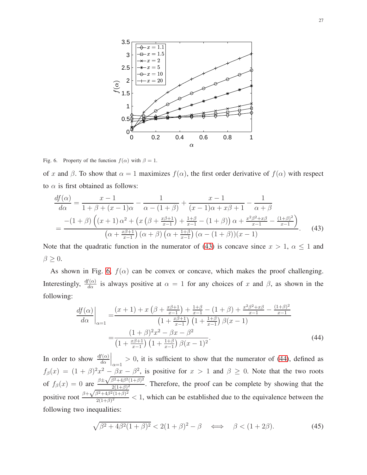

<span id="page-26-0"></span>Fig. 6. Property of the function  $f(\alpha)$  with  $\beta = 1$ .

of x and  $\beta$ . To show that  $\alpha = 1$  maximizes  $f(\alpha)$ , the first order derivative of  $f(\alpha)$  with respect to  $\alpha$  is first obtained as follows:

$$
\frac{df(\alpha)}{d\alpha} = \frac{x-1}{1+\beta+(x-1)\alpha} - \frac{1}{\alpha-(1+\beta)} + \frac{x-1}{(x-1)\alpha+x\beta+1} - \frac{1}{\alpha+\beta}
$$

$$
= \frac{-(1+\beta)\left((x+1)\alpha^2 + \left(x\left(\beta + \frac{x\beta+1}{x-1}\right) + \frac{1+\beta}{x-1} - (1+\beta)\right)\alpha + \frac{x^2\beta^2 + x\beta}{x-1} - \frac{(1+\beta)^2}{x-1}\right)}{\left(\alpha + \frac{x\beta+1}{x-1}\right)(\alpha+\beta)\left(\alpha + \frac{1+\beta}{x-1}\right)(\alpha-(1+\beta))(x-1)}.
$$
(43)

Note that the quadratic function in the numerator of [\(43\)](#page-26-1) is concave since  $x > 1$ ,  $\alpha \le 1$  and  $\beta \geq 0$ .

As shown in Fig. [6,](#page-26-0)  $f(\alpha)$  can be convex or concave, which makes the proof challenging. Interestingly,  $\frac{df(\alpha)}{d\alpha}$  is always positive at  $\alpha = 1$  for any choices of x and  $\beta$ , as shown in the following:

<span id="page-26-2"></span><span id="page-26-1"></span>
$$
\frac{df(\alpha)}{d\alpha}\Big|_{\alpha=1} = \frac{(x+1) + x\left(\beta + \frac{x\beta+1}{x-1}\right) + \frac{1+\beta}{x-1} - (1+\beta) + \frac{x^2\beta^2 + x\beta}{x-1} - \frac{(1+\beta)^2}{x-1}}{\left(1 + \frac{x\beta+1}{x-1}\right)\left(1 + \frac{1+\beta}{x-1}\right)\beta(x-1)}
$$
\n
$$
= \frac{(1+\beta)^2x^2 - \beta x - \beta^2}{\left(1 + \frac{x\beta+1}{x-1}\right)\left(1 + \frac{1+\beta}{x-1}\right)\beta(x-1)^2}.
$$
\n(44)

In order to show  $\frac{df(\alpha)}{d\alpha}\Big|_{\alpha=1} > 0$ , it is sufficient to show that the numerator of [\(44\)](#page-26-2), defined as  $\alpha=1$  $f_\beta(x) = (1+\beta)^2 x^2 - \beta x - \beta^2$ , is positive for  $x > 1$  and  $\beta \ge 0$ . Note that the two roots of  $f_\beta(x) = 0$  are  $\frac{\beta \pm \sqrt{\beta^2 + 4\beta^2(1+\beta)^2}}{2(1+\beta)^2}$  $\frac{2(1+\beta)}{2(1+\beta)^2}$ . Therefore, the proof can be complete by showing that the positive root  $\frac{\beta+\sqrt{\beta^2+4\beta^2(1+\beta)^2}}{2(1+\beta)^2}$  $\frac{2(1+\beta)}{2(1+\beta)^2}$  < 1, which can be established due to the equivalence between the following two inequalities:

$$
\sqrt{\beta^2 + 4\beta^2 (1+\beta)^2} < 2(1+\beta)^2 - \beta \quad \Longleftrightarrow \quad \beta < (1+2\beta). \tag{45}
$$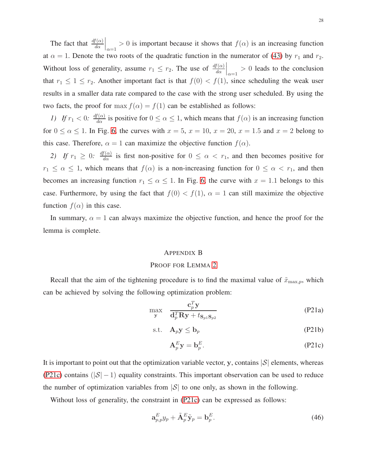The fact that  $\frac{df(\alpha)}{d\alpha}\Big|_{\alpha=1} > 0$  is important because it shows that  $f(\alpha)$  is an increasing function at  $\alpha = 1$ . Denote the two roots of the quadratic function in the numerator of [\(43\)](#page-26-1) by  $r_1$  and  $r_2$ . Without loss of generality, assume  $r_1 \leq r_2$ . The use of  $\frac{df(\alpha)}{d\alpha}\Big|_{\alpha=1} > 0$  leads to the conclusion that  $r_1 \leq 1 \leq r_2$ . Another important fact is that  $f(0) < f(1)$ , since scheduling the weak user results in a smaller data rate compared to the case with the strong user scheduled. By using the two facts, the proof for max  $f(\alpha) = f(1)$  can be established as follows:

*1)* If  $r_1 < 0$ :  $\frac{df(\alpha)}{d\alpha}$  is positive for  $0 \le \alpha \le 1$ , which means that  $f(\alpha)$  is an increasing function for  $0 \le \alpha \le 1$ . In Fig. [6,](#page-26-0) the curves with  $x = 5$ ,  $x = 10$ ,  $x = 20$ ,  $x = 1.5$  and  $x = 2$  belong to this case. Therefore,  $\alpha = 1$  can maximize the objective function  $f(\alpha)$ .

2) If  $r_1 \geq 0$ :  $\frac{df(\alpha)}{d\alpha}$  is first non-positive for  $0 \leq \alpha < r_1$ , and then becomes positive for  $r_1 \leq \alpha \leq 1$ , which means that  $f(\alpha)$  is a non-increasing function for  $0 \leq \alpha < r_1$ , and then becomes an increasing function  $r_1 \le \alpha \le 1$ . In Fig. [6,](#page-26-0) the curve with  $x = 1.1$  belongs to this case. Furthermore, by using the fact that  $f(0) < f(1)$ ,  $\alpha = 1$  can still maximize the objective function  $f(\alpha)$  in this case.

In summary,  $\alpha = 1$  can always maximize the objective function, and hence the proof for the lemma is complete.

#### <span id="page-27-2"></span><span id="page-27-0"></span>APPENDIX B

#### PROOF FOR LEMMA [2](#page-17-2)

Recall that the aim of the tightening procedure is to find the maximal value of  $\tilde{x}_{\text{max},p}$ , which can be achieved by solving the following optimization problem:

$$
\max_{\mathbf{y}} \quad \frac{\mathbf{c}_p^T \mathbf{y}}{\mathbf{d}_p^T \mathbf{R} \mathbf{y} + t_{\mathbf{S}_{p1} \mathbf{S}_{p2}}} \tag{P21a}
$$

$$
\text{s.t.} \quad \mathbf{A}_p \mathbf{y} \le \mathbf{b}_p \tag{P21b}
$$

<span id="page-27-1"></span>
$$
\mathbf{A}_p^E \mathbf{y} = \mathbf{b}_p^E. \tag{P21c}
$$

It is important to point out that the optimization variable vector, y, contains  $|S|$  elements, whereas [\(P21c\)](#page-27-1) contains ( $|S| - 1$ ) equality constraints. This important observation can be used to reduce the number of optimization variables from  $|\mathcal{S}|$  to one only, as shown in the following.

Without loss of generality, the constraint in [\(P21c\)](#page-27-1) can be expressed as follows:

$$
\mathbf{a}_{p,p}^{E}y_p + \tilde{\mathbf{A}}_p^{E}\tilde{\mathbf{y}}_p = \mathbf{b}_p^{E}.\tag{46}
$$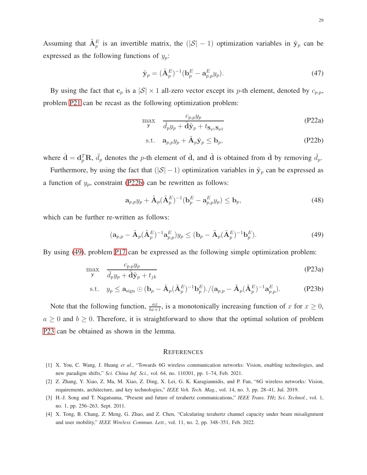Assuming that  $\tilde{A}_p^E$  is an invertible matrix, the  $(|S|-1)$  optimization variables in  $\tilde{y}_p$  can be expressed as the following functions of  $y_p$ :

$$
\tilde{\mathbf{y}}_p = (\tilde{\mathbf{A}}_p^E)^{-1} (\mathbf{b}_p^E - \mathbf{a}_{p,p}^E y_p). \tag{47}
$$

By using the fact that  $c_p$  is a  $|S| \times 1$  all-zero vector except its p-th element, denoted by  $c_{p,p}$ , problem [P21](#page-27-2) can be recast as the following optimization problem:

$$
\max_{\mathbf{y}} \quad \frac{c_{p,p} y_p}{\bar{d}_p y_p + \tilde{\mathbf{d}} \tilde{\mathbf{y}}_p + t_{\mathbf{S}_{p1} \mathbf{S}_{p2}}} \tag{P22a}
$$

<span id="page-28-4"></span><span id="page-28-3"></span>
$$
\text{s.t.} \quad \mathbf{a}_{p,p} y_p + \tilde{\mathbf{A}}_p \tilde{\mathbf{y}}_p \le \mathbf{b}_p,\tag{P22b}
$$

where  $\bar{\mathbf{d}} = \mathbf{d}_p^T \mathbf{R}$ ,  $\bar{d}_p$  denotes the p-th element of  $\bar{\mathbf{d}}$ , and  $\tilde{\mathbf{d}}$  is obtained from  $\bar{\mathbf{d}}$  by removing  $\bar{d}_p$ .

Furthermore, by using the fact that  $(|S| - 1)$  optimization variables in  $\tilde{y}_p$  can be expressed as a function of  $y_p$ , constraint [\(P22b\)](#page-28-3) can be rewritten as follows:

$$
\mathbf{a}_{p,p}y_p + \tilde{\mathbf{A}}_p(\tilde{\mathbf{A}}_p^E)^{-1}(\mathbf{b}_p^E - \mathbf{a}_{p,p}^E y_p) \le \mathbf{b}_p,\tag{48}
$$

which can be further re-written as follows:

$$
(\mathbf{a}_{p,p} - \tilde{\mathbf{A}}_p(\tilde{\mathbf{A}}_p^E)^{-1} \mathbf{a}_{p,p}^E) y_p \le (\mathbf{b}_p - \tilde{\mathbf{A}}_p(\tilde{\mathbf{A}}_p^E)^{-1} \mathbf{b}_p^E). \tag{49}
$$

By using [\(49\)](#page-28-4), problem [P17](#page-19-7) can be expressed as the following simple optimization problem:

$$
\max_{\mathbf{y}} \quad \frac{c_{p,p} y_p}{\bar{d}_p y_p + \tilde{\mathbf{d}} \tilde{\mathbf{y}}_p + t_{jk}} \tag{P23a}
$$

$$
\text{s.t.} \quad y_p \le \mathbf{a}_{\text{sign}} \odot (\mathbf{b}_p - \tilde{\mathbf{A}}_p (\tilde{\mathbf{A}}_p^E)^{-1} \mathbf{b}_p^E) . / (\mathbf{a}_{p,p} - \tilde{\mathbf{A}}_p (\tilde{\mathbf{A}}_p^E)^{-1} \mathbf{a}_{p,p}^E). \tag{P23b}
$$

Note that the following function,  $\frac{ax}{bx+1}$ , is a monotonically increasing function of x for  $x \ge 0$ ,  $a \geq 0$  and  $b \geq 0$ . Therefore, it is straightforward to show that the optimal solution of problem [P23](#page-28-5) can be obtained as shown in the lemma.

#### <span id="page-28-5"></span>**REFERENCES**

- <span id="page-28-1"></span><span id="page-28-0"></span>[1] X. You, C. Wang, J. Huang *et al.*, "Towards 6G wireless communication networks: Vision, enabling technologies, and new paradigm shifts," *Sci. China Inf. Sci.*, vol. 64, no. 110301, pp. 1–74, Feb. 2021.
- <span id="page-28-2"></span>[2] Z. Zhang, Y. Xiao, Z. Ma, M. Xiao, Z. Ding, X. Lei, G. K. Karagiannidis, and P. Fan, "6G wireless networks: Vision, requirements, architecture, and key technologies," *IEEE Veh. Tech. Mag.*, vol. 14, no. 3, pp. 28–41, Jul. 2019.
- [3] H.-J. Song and T. Nagatsuma, "Present and future of terahertz communications," *IEEE Trans. THz Sci. Technol.*, vol. 1, no. 1, pp. 256–263, Sept. 2011.
- [4] X. Tong, B. Chang, Z. Meng, G. Zhao, and Z. Chen, "Calculating terahertz channel capacity under beam misalignment and user mobility," *IEEE Wireless Commun. Lett.*, vol. 11, no. 2, pp. 348–351, Feb. 2022.